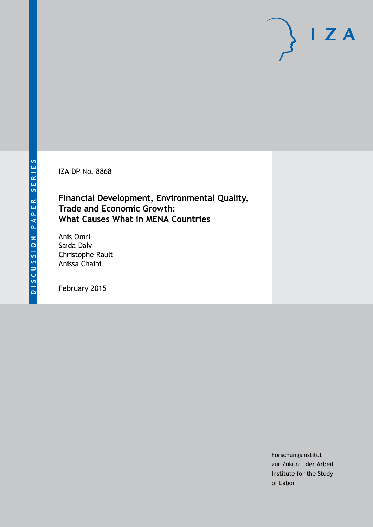IZA DP No. 8868

# **Financial Development, Environmental Quality, Trade and Economic Growth: What Causes What in MENA Countries**

Anis Omri Saida Daly Christophe Rault Anissa Chaibi

February 2015

Forschungsinstitut zur Zukunft der Arbeit Institute for the Study of Labor

 $I Z A$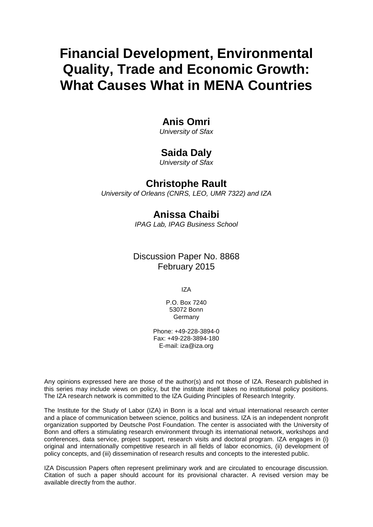# **Financial Development, Environmental Quality, Trade and Economic Growth: What Causes What in MENA Countries**

# **Anis Omri**

*University of Sfax*

# **Saida Daly**

*University of Sfax*

# **Christophe Rault**

*University of Orleans (CNRS, LEO, UMR 7322) and IZA*

# **Anissa Chaibi**

*IPAG Lab, IPAG Business School*

## Discussion Paper No. 8868 February 2015

IZA

P.O. Box 7240 53072 Bonn **Germany** 

Phone: +49-228-3894-0 Fax: +49-228-3894-180 E-mail: [iza@iza.org](mailto:iza@iza.org)

Any opinions expressed here are those of the author(s) and not those of IZA. Research published in this series may include views on policy, but the institute itself takes no institutional policy positions. The IZA research network is committed to the IZA Guiding Principles of Research Integrity.

The Institute for the Study of Labor (IZA) in Bonn is a local and virtual international research center and a place of communication between science, politics and business. IZA is an independent nonprofit organization supported by Deutsche Post Foundation. The center is associated with the University of Bonn and offers a stimulating research environment through its international network, workshops and conferences, data service, project support, research visits and doctoral program. IZA engages in (i) original and internationally competitive research in all fields of labor economics, (ii) development of policy concepts, and (iii) dissemination of research results and concepts to the interested public.

<span id="page-1-0"></span>IZA Discussion Papers often represent preliminary work and are circulated to encourage discussion. Citation of such a paper should account for its provisional character. A revised version may be available directly from the author.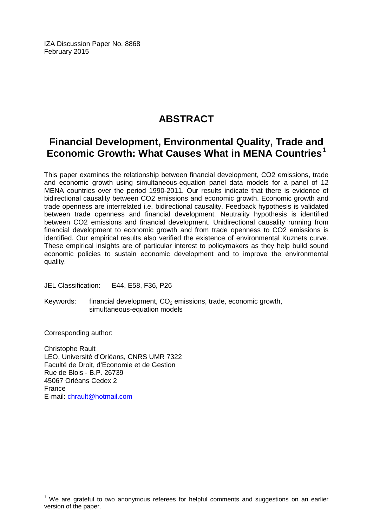IZA Discussion Paper No. 8868 February 2015

# **ABSTRACT**

# **Financial Development, Environmental Quality, Trade and Economic Growth: What Causes What in MENA Countries[1](#page-1-0)**

This paper examines the relationship between financial development, CO2 emissions, trade and economic growth using simultaneous-equation panel data models for a panel of 12 MENA countries over the period 1990-2011. Our results indicate that there is evidence of bidirectional causality between CO2 emissions and economic growth. Economic growth and trade openness are interrelated i.e. bidirectional causality. Feedback hypothesis is validated between trade openness and financial development. Neutrality hypothesis is identified between CO2 emissions and financial development. Unidirectional causality running from financial development to economic growth and from trade openness to CO2 emissions is identified. Our empirical results also verified the existence of environmental Kuznets curve. These empirical insights are of particular interest to policymakers as they help build sound economic policies to sustain economic development and to improve the environmental quality.

JEL Classification: E44, E58, F36, P26

Keywords: financial development,  $CO<sub>2</sub>$  emissions, trade, economic growth, simultaneous-equation models

Corresponding author:

Christophe Rault LEO, Université d'Orléans, CNRS UMR 7322 Faculté de Droit, d'Economie et de Gestion Rue de Blois - B.P. 26739 45067 Orléans Cedex 2 France E-mail: [chrault@hotmail.com](mailto:chrault@hotmail.com)

 $<sup>1</sup>$  We are grateful to two anonymous referees for helpful comments and suggestions on an earlier</sup> version of the paper.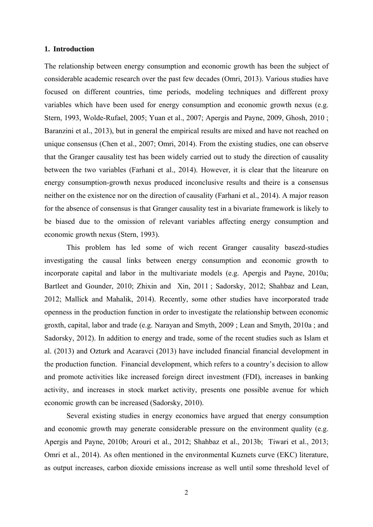### **1. Introduction**

The relationship between energy consumption and economic growth has been the subject of considerable academic research over the past few decades (Omri, 2013). Various studies have focused on different countries, time periods, modeling techniques and different proxy variables which have been used for energy consumption and economic growth nexus (e.g. Stern, 1993, Wolde-Rufael, 2005; Yuan et al., 2007; Apergis and Payne, 2009, Ghosh, 2010 ; Baranzini et al., 2013), but in general the empirical results are mixed and have not reached on unique consensus (Chen et al., 2007; Omri, 2014). From the existing studies, one can observe that the Granger causality test has been widely carried out to study the direction of causality between the two variables (Farhani et al., 2014). However, it is clear that the litearure on energy consumption-growth nexus produced inconclusive results and theire is a consensus neither on the existence nor on the direction of causality (Farhani et al., 2014). A major reason for the absence of consensus is that Granger causality test in a bivariate framework is likely to be biased due to the omission of relevant variables affecting energy consumption and economic growth nexus (Stern, 1993).

 This problem has led some of wich recent Granger causality basezd-studies investigating the causal links between energy consumption and economic growth to incorporate capital and labor in the multivariate models (e.g. Apergis and Payne, 2010a; Bartleet and Gounder, 2010; Zhixin and Xin, 2011 ; Sadorsky, 2012; Shahbaz and Lean, 2012; Mallick and Mahalik, 2014). Recently, some other studies have incorporated trade openness in the production function in order to investigate the relationship between economic groxth, capital, labor and trade (e.g. Narayan and Smyth, 2009 ; Lean and Smyth, 2010a ; and Sadorsky, 2012). In addition to energy and trade, some of the recent studies such as Islam et al. (2013) and Ozturk and Acaravci (2013) have included financial financial development in the production function. Financial development, which refers to a country's decision to allow and promote activities like increased foreign direct investment (FDI), increases in banking activity, and increases in stock market activity, presents one possible avenue for which economic growth can be increased (Sadorsky, 2010).

 Several existing studies in energy economics have argued that energy consumption and economic growth may generate considerable pressure on the environment quality (e.g. Apergis and Payne, 2010b; Arouri et al., 2012; Shahbaz et al., 2013b; Tiwari et al., 2013; Omri et al., 2014). As often mentioned in the environmental Kuznets curve (EKC) literature, as output increases, carbon dioxide emissions increase as well until some threshold level of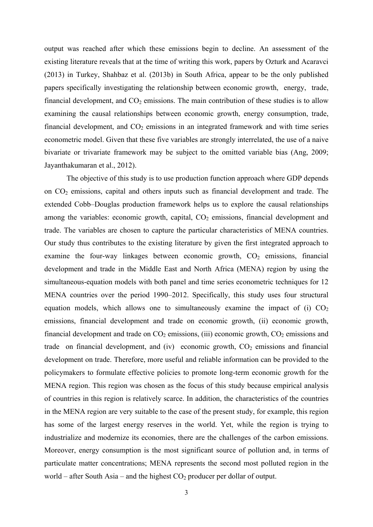output was reached after which these emissions begin to decline. An assessment of the existing literature reveals that at the time of writing this work, papers by Ozturk and Acaravci (2013) in Turkey, Shahbaz et al. (2013b) in South Africa, appear to be the only published papers specifically investigating the relationship between economic growth, energy, trade, financial development, and  $CO<sub>2</sub>$  emissions. The main contribution of these studies is to allow examining the causal relationships between economic growth, energy consumption, trade, financial development, and  $CO<sub>2</sub>$  emissions in an integrated framework and with time series econometric model. Given that these five variables are strongly interrelated, the use of a naive bivariate or trivariate framework may be subject to the omitted variable bias (Ang, 2009; Jayanthakumaran et al., 2012).

 The objective of this study is to use production function approach where GDP depends on CO2 emissions, capital and others inputs such as financial development and trade. The extended Cobb–Douglas production framework helps us to explore the causal relationships among the variables: economic growth, capital,  $CO<sub>2</sub>$  emissions, financial development and trade. The variables are chosen to capture the particular characteristics of MENA countries. Our study thus contributes to the existing literature by given the first integrated approach to examine the four-way linkages between economic growth,  $CO<sub>2</sub>$  emissions, financial development and trade in the Middle East and North Africa (MENA) region by using the simultaneous-equation models with both panel and time series econometric techniques for 12 MENA countries over the period 1990–2012. Specifically, this study uses four structural equation models, which allows one to simultaneously examine the impact of (i)  $CO<sub>2</sub>$ emissions, financial development and trade on economic growth, (ii) economic growth, financial development and trade on  $CO<sub>2</sub>$  emissions, (iii) economic growth,  $CO<sub>2</sub>$  emissions and trade on financial development, and  $(iv)$  economic growth,  $CO<sub>2</sub>$  emissions and financial development on trade. Therefore, more useful and reliable information can be provided to the policymakers to formulate effective policies to promote long-term economic growth for the MENA region. This region was chosen as the focus of this study because empirical analysis of countries in this region is relatively scarce. In addition, the characteristics of the countries in the MENA region are very suitable to the case of the present study, for example, this region has some of the largest energy reserves in the world. Yet, while the region is trying to industrialize and modernize its economies, there are the challenges of the carbon emissions. Moreover, energy consumption is the most significant source of pollution and, in terms of particulate matter concentrations; MENA represents the second most polluted region in the world – after South Asia – and the highest  $CO<sub>2</sub>$  producer per dollar of output.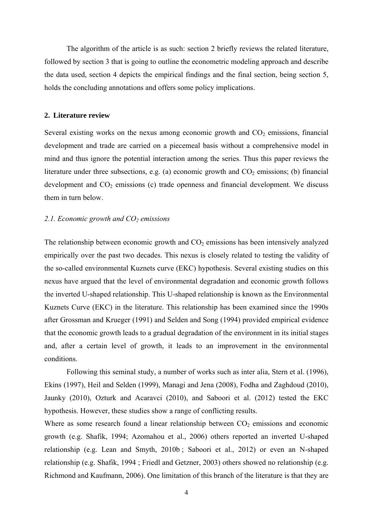The algorithm of the article is as such: section 2 briefly reviews the related literature, followed by section 3 that is going to outline the econometric modeling approach and describe the data used, section 4 depicts the empirical findings and the final section, being section 5, holds the concluding annotations and offers some policy implications.

#### **2. Literature review**

Several existing works on the nexus among economic growth and  $CO<sub>2</sub>$  emissions, financial development and trade are carried on a piecemeal basis without a comprehensive model in mind and thus ignore the potential interaction among the series. Thus this paper reviews the literature under three subsections, e.g. (a) economic growth and  $CO<sub>2</sub>$  emissions; (b) financial development and  $CO<sub>2</sub>$  emissions (c) trade openness and financial development. We discuss them in turn below.

#### *2.1. Economic growth and CO2 emissions*

The relationship between economic growth and  $CO<sub>2</sub>$  emissions has been intensively analyzed empirically over the past two decades. This nexus is closely related to testing the validity of the so-called environmental Kuznets curve (EKC) hypothesis. Several existing studies on this nexus have argued that the level of environmental degradation and economic growth follows the inverted U-shaped relationship. This U-shaped relationship is known as the Environmental Kuznets Curve (EKC) in the literature. This relationship has been examined since the 1990s after Grossman and Krueger (1991) and Selden and Song (1994) provided empirical evidence that the economic growth leads to a gradual degradation of the environment in its initial stages and, after a certain level of growth, it leads to an improvement in the environmental conditions.

 Following this seminal study, a number of works such as inter alia, Stern et al. (1996), Ekins (1997), Heil and Selden (1999), Managi and Jena (2008), Fodha and Zaghdoud (2010), Jaunky (2010), Ozturk and Acaravci (2010), and Saboori et al. (2012) tested the EKC hypothesis. However, these studies show a range of conflicting results.

Where as some research found a linear relationship between  $CO<sub>2</sub>$  emissions and economic growth (e.g. Shafik, 1994; Azomahou et al., 2006) others reported an inverted U-shaped relationship (e.g. Lean and Smyth, 2010b ; Saboori et al., 2012) or even an N-shaped relationship (e.g. Shafik, 1994 ; Friedl and Getzner, 2003) others showed no relationship (e.g. Richmond and Kaufmann, 2006). One limitation of this branch of the literature is that they are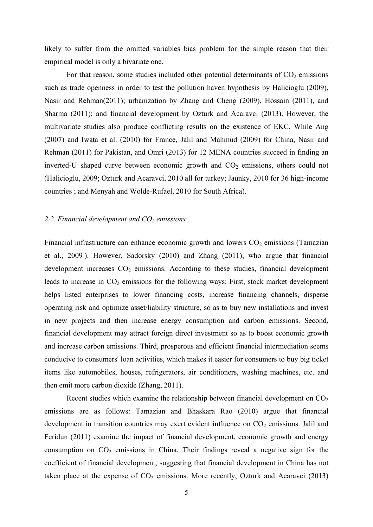likely to suffer from the omitted variables bias problem for the simple reason that their empirical model is only a bivariate one.

For that reason, some studies included other potential determinants of  $CO<sub>2</sub>$  emissions such as trade openness in order to test the pollution haven hypothesis by Halicioglu (2009), Nasir and Rehman(2011); urbanization by Zhang and Cheng (2009), Hossain (2011), and Sharma (2011); and financial development by Ozturk and Acaravci (2013). However, the multivariate studies also produce conflicting results on the existence of EKC. While Ang (2007) and Iwata et al. (2010) for France, Jalil and Mahmud (2009) for China, Nasir and Rehman (2011) for Pakistan, and Omri (2013) for 12 MENA countries succeed in finding an inverted-U shaped curve between economic growth and  $CO<sub>2</sub>$  emissions, others could not (Halicioglu, 2009; Ozturk and Acaravci, 2010 all for turkey; Jaunky, 2010 for 36 high-income countries ; and Menyah and Wolde-Rufael, 2010 for South Africa).

### 2.2. Financial development and  $CO<sub>2</sub>$  emissions

Financial infrastructure can enhance economic growth and lowers  $CO<sub>2</sub>$  emissions (Tamazian et al., 2009 ). However, Sadorsky (2010) and Zhang (2011), who argue that financial development increases  $CO<sub>2</sub>$  emissions. According to these studies, financial development leads to increase in  $CO<sub>2</sub>$  emissions for the following ways: First, stock market development helps listed enterprises to lower financing costs, increase financing channels, disperse operating risk and optimize asset/liability structure, so as to buy new installations and invest in new projects and then increase energy consumption and carbon emissions. Second, financial development may attract foreign direct investment so as to boost economic growth and increase carbon emissions. Third, prosperous and efficient financial intermediation seems conducive to consumers' loan activities, which makes it easier for consumers to buy big ticket items like automobiles, houses, refrigerators, air conditioners, washing machines, etc. and then emit more carbon dioxide (Zhang, 2011).

Recent studies which examine the relationship between financial development on  $CO<sub>2</sub>$ emissions are as follows: Tamazian and Bhaskara Rao (2010) argue that financial development in transition countries may exert evident influence on  $CO<sub>2</sub>$  emissions. Jalil and Feridun (2011) examine the impact of financial development, economic growth and energy consumption on  $CO<sub>2</sub>$  emissions in China. Their findings reveal a negative sign for the coefficient of financial development, suggesting that financial development in China has not taken place at the expense of  $CO<sub>2</sub>$  emissions. More recently, Ozturk and Acaravci (2013)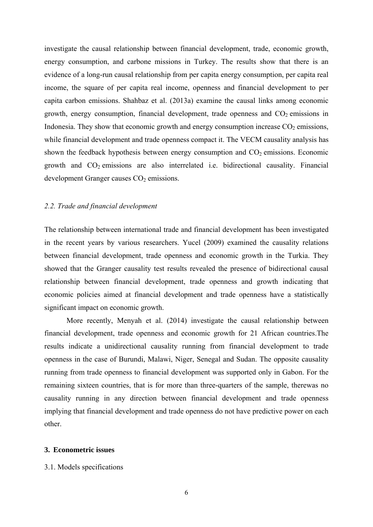investigate the causal relationship between financial development, trade, economic growth, energy consumption, and carbone missions in Turkey. The results show that there is an evidence of a long-run causal relationship from per capita energy consumption, per capita real income, the square of per capita real income, openness and financial development to per capita carbon emissions. Shahbaz et al. (2013a) examine the causal links among economic growth, energy consumption, financial development, trade openness and  $CO<sub>2</sub>$  emissions in Indonesia. They show that economic growth and energy consumption increase  $CO<sub>2</sub>$  emissions, while financial development and trade openness compact it. The VECM causality analysis has shown the feedback hypothesis between energy consumption and  $CO<sub>2</sub>$  emissions. Economic growth and  $CO<sub>2</sub>$  emissions are also interrelated i.e. bidirectional causality. Financial development Granger causes  $CO<sub>2</sub>$  emissions.

### *2.2. Trade and financial development*

The relationship between international trade and financial development has been investigated in the recent years by various researchers. Yucel (2009) examined the causality relations between financial development, trade openness and economic growth in the Turkia. They showed that the Granger causality test results revealed the presence of bidirectional causal relationship between financial development, trade openness and growth indicating that economic policies aimed at financial development and trade openness have a statistically significant impact on economic growth.

 More recently, Menyah et al. (2014) investigate the causal relationship between financial development, trade openness and economic growth for 21 African countries.The results indicate a unidirectional causality running from financial development to trade openness in the case of Burundi, Malawi, Niger, Senegal and Sudan. The opposite causality running from trade openness to financial development was supported only in Gabon. For the remaining sixteen countries, that is for more than three-quarters of the sample, therewas no causality running in any direction between financial development and trade openness implying that financial development and trade openness do not have predictive power on each other.

#### **3. Econometric issues**

### 3.1. Models specifications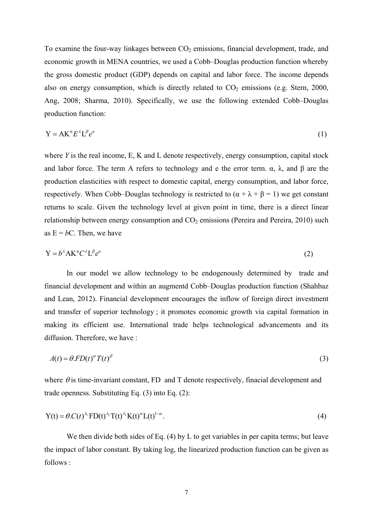To examine the four-way linkages between  $CO<sub>2</sub>$  emissions, financial development, trade, and economic growth in MENA countries, we used a Cobb–Douglas production function whereby the gross domestic product (GDP) depends on capital and labor force. The income depends also on energy consumption, which is directly related to  $CO<sub>2</sub>$  emissions (e.g. Stern, 2000, Ang, 2008; Sharma, 2010). Specifically, we use the following extended Cobb–Douglas production function:

$$
Y = AK^{\alpha}E^{\lambda}L^{\beta}e^{\mu} \tag{1}
$$

where *Y* is the real income, E, K and L denote respectively, energy consumption, capital stock and labor force. The term A refers to technology and e the error term.  $\alpha$ ,  $\lambda$ , and  $\beta$  are the production elasticities with respect to domestic capital, energy consumption, and labor force, respectively. When Cobb–Douglas technology is restricted to  $(\alpha + \lambda + \beta = 1)$  we get constant returns to scale. Given the technology level at given point in time, there is a direct linear relationship between energy consumption and  $CO<sub>2</sub>$  emissions (Pereira and Pereira, 2010) such as  $E = bC$ . Then, we have

$$
Y = b^{\lambda} A K^{\alpha} C^{\lambda} L^{\beta} e^{\mu}
$$
 (2)

In our model we allow technology to be endogenously determined by trade and financial development and within an augmentd Cobb–Douglas production function (Shahbaz and Lean, 2012). Financial development encourages the inflow of foreign direct investment and transfer of superior technology ; it promotes economic growth via capital formation in making its efficient use. International trade helps technological advancements and its diffusion. Therefore, we have :

$$
A(t) = \theta F D(t)^{\alpha} T(t)^{\beta} \tag{3}
$$

where  $\theta$  is time-invariant constant, FD and T denote respectively, finacial development and trade openness. Substituting Eq. (3) into Eq. (2):

$$
Y(t) = \theta C(t)^{\lambda_1} F D(t)^{\lambda_2} T(t)^{\lambda_3} K(t)^{\alpha} L(t)^{1-\alpha}.
$$
\n(4)

We then divide both sides of Eq. (4) by L to get variables in per capita terms; but leave the impact of labor constant. By taking log, the linearized production function can be given as follows :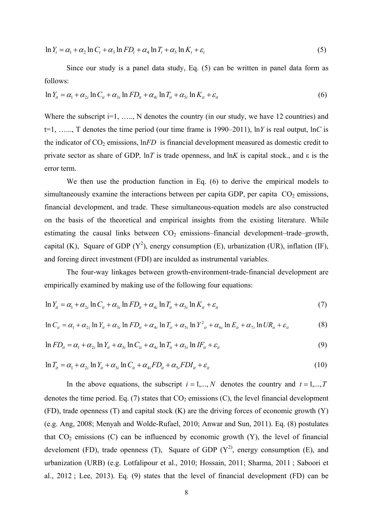$$
\ln Y_t = \alpha_1 + \alpha_2 \ln C_t + \alpha_3 \ln FD_t + \alpha_4 \ln T_t + \alpha_5 \ln K_t + \varepsilon_t
$$
\n<sup>(5)</sup>

Since our study is a panel data study, Eq. (5) can be written in panel data form as follows:

$$
\ln Y_{it} = \alpha_1 + \alpha_{2i} \ln C_{it} + \alpha_{3i} \ln FD_{it} + \alpha_{4i} \ln T_{it} + \alpha_{5i} \ln K_{it} + \varepsilon_{it}
$$
\n
$$
\tag{6}
$$

Where the subscript  $i=1, \ldots, N$  denotes the country (in our study, we have 12 countries) and t=1, …..., T denotes the time period (our time frame is 1990–2011), ln*Y* is real output, ln*C* is the indicator of  $CO_2$  emissions,  $lnFD$  is financial development measured as domestic credit to private sector as share of GDP*,* ln*T* is trade openness, and ln*K* is capital stock., and ε is the error term.

We then use the production function in Eq. (6) to derive the empirical models to simultaneously examine the interactions between per capita GDP, per capita  $CO<sub>2</sub>$  emissions, financial development, and trade. These simultaneous-equation models are also constructed on the basis of the theoretical and empirical insights from the existing literature. While estimating the causal links between  $CO<sub>2</sub>$  emissions–financial development–trade–growth, capital (K), Square of GDP ( $Y^2$ ), energy consumption (E), urbanization (UR), inflation (IF), and foreing direct investment (FDI) are inculded as instrumental variables.

The four-way linkages between growth-environment-trade-financial development are empirically examined by making use of the following four equations:

$$
\ln Y_{it} = \alpha_1 + \alpha_{2i} \ln C_{it} + \alpha_{3i} \ln FD_{it} + \alpha_{4i} \ln T_{it} + \alpha_{5i} \ln K_{it} + \varepsilon_{it}
$$
\n<sup>(7)</sup>

$$
\ln C_{ii} = \alpha_1 + \alpha_{2i} \ln Y_{it} + \alpha_{3i} \ln FD_{it} + \alpha_{4i} \ln T_{it} + \alpha_{5i} \ln Y_{it}^2 + \alpha_{6i} \ln E_{it} + \alpha_{7i} \ln UR_{it} + \varepsilon_{it}
$$
(8)

$$
\ln FD_{it} = \alpha_1 + \alpha_{2i} \ln Y_{it} + \alpha_{3i} \ln C_{it} + \alpha_{4i} \ln T_{it} + \alpha_{5i} \ln IF_{it} + \varepsilon_{it}
$$
\n
$$
\tag{9}
$$

$$
\ln T_{it} = \alpha_1 + \alpha_{2i} \ln Y_{it} + \alpha_{3i} \ln C_{it} + \alpha_{4i} FD_{it} + \alpha_{5i} FDI_{it} + \varepsilon_{it}
$$
\n(10)

In the above equations, the subscript  $i = 1,..., N$  denotes the country and  $t = 1,..., T$ denotes the time period. Eq.  $(7)$  states that  $CO<sub>2</sub>$  emissions  $(C)$ , the level financial development  $(FD)$ , trade openness  $(T)$  and capital stock  $(K)$  are the driving forces of economic growth  $(Y)$ (e.g. Ang, 2008; Menyah and Wolde-Rufael, 2010; Anwar and Sun, 2011). Eq. (8) postulates that  $CO<sub>2</sub>$  emissions (C) can be influenced by economic growth (Y), the level of financial develoment (FD), trade openness (T), Square of GDP  $(Y^2)$ , energy consumption (E), and urbanization (URB) (e.g. Lotfalipour et al., 2010; Hossain, 2011; Sharma, 2011 ; Saboori et al., 2012 ; Lee, 2013). Eq. (9) states that the level of financial development (FD) can be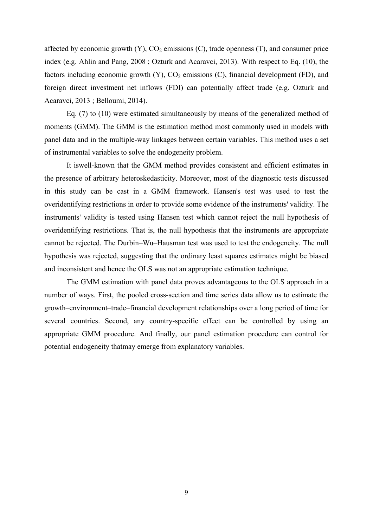affected by economic growth  $(Y)$ ,  $CO<sub>2</sub>$  emissions  $(C)$ , trade openness  $(T)$ , and consumer price index (e.g. Ahlin and Pang, 2008 ; Ozturk and Acaravci, 2013). With respect to Eq. (10), the factors including economic growth  $(Y)$ ,  $CO<sub>2</sub>$  emissions  $(C)$ , financial development  $(FD)$ , and foreign direct investment net inflows (FDI) can potentially affect trade (e.g. Ozturk and Acaravci, 2013 ; Belloumi, 2014).

 Eq. (7) to (10) were estimated simultaneously by means of the generalized method of moments (GMM). The GMM is the estimation method most commonly used in models with panel data and in the multiple-way linkages between certain variables. This method uses a set of instrumental variables to solve the endogeneity problem.

 It iswell-known that the GMM method provides consistent and efficient estimates in the presence of arbitrary heteroskedasticity. Moreover, most of the diagnostic tests discussed in this study can be cast in a GMM framework. Hansen's test was used to test the overidentifying restrictions in order to provide some evidence of the instruments' validity. The instruments' validity is tested using Hansen test which cannot reject the null hypothesis of overidentifying restrictions. That is, the null hypothesis that the instruments are appropriate cannot be rejected. The Durbin–Wu–Hausman test was used to test the endogeneity. The null hypothesis was rejected, suggesting that the ordinary least squares estimates might be biased and inconsistent and hence the OLS was not an appropriate estimation technique.

 The GMM estimation with panel data proves advantageous to the OLS approach in a number of ways. First, the pooled cross-section and time series data allow us to estimate the growth–environment–trade–financial development relationships over a long period of time for several countries. Second, any country-specific effect can be controlled by using an appropriate GMM procedure. And finally, our panel estimation procedure can control for potential endogeneity thatmay emerge from explanatory variables.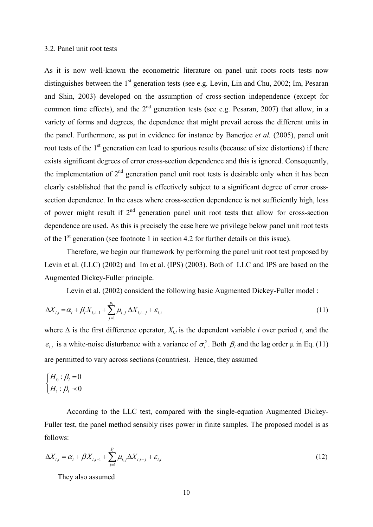### 3.2. Panel unit root tests

As it is now well-known the econometric literature on panel unit roots roots tests now distinguishes between the  $1<sup>st</sup>$  generation tests (see e.g. Levin, Lin and Chu, 2002; Im, Pesaran and Shin, 2003) developed on the assumption of cross-section independence (except for common time effects), and the  $2<sup>nd</sup>$  generation tests (see e.g. Pesaran, 2007) that allow, in a variety of forms and degrees, the dependence that might prevail across the different units in the panel. Furthermore, as put in evidence for instance by Banerjee *et al.* (2005), panel unit root tests of the 1<sup>st</sup> generation can lead to spurious results (because of size distortions) if there exists significant degrees of error cross-section dependence and this is ignored. Consequently, the implementation of  $2<sup>nd</sup>$  generation panel unit root tests is desirable only when it has been clearly established that the panel is effectively subject to a significant degree of error crosssection dependence. In the cases where cross-section dependence is not sufficiently high, loss of power might result if  $2<sup>nd</sup>$  generation panel unit root tests that allow for cross-section dependence are used. As this is precisely the case here we privilege below panel unit root tests of the  $1<sup>st</sup>$  generation (see footnote 1 in section 4.2 for further details on this issue).

 Therefore, we begin our framework by performing the panel unit root test proposed by Levin et al. (LLC) (2002) and Im et al. (IPS) (2003). Both of LLC and IPS are based on the Augmented Dickey-Fuller principle.

Levin et al. (2002) considerd the following basic Augmented Dickey-Fuller model :

$$
\Delta X_{i,t} = \alpha_i + \beta_i X_{i,t-1} + \sum_{j=1}^{p_i} \mu_{i,j} \Delta X_{i,t-j} + \varepsilon_{i,t}
$$
\n(11)

where  $\Delta$  is the first difference operator,  $X_{i,t}$  is the dependent variable *i* over period *t*, and the  $\epsilon_{i,t}$  is a white-noise disturbance with a variance of  $\sigma_i^2$ . Both  $\beta_i$  and the lag order  $\mu$  in Eq. (11) are permitted to vary across sections (countries). Hence, they assumed

$$
\begin{cases} H_0: \beta_i = 0 \\ H_1: \beta_i \prec 0 \end{cases}
$$

 According to the LLC test, compared with the single-equation Augmented Dickey-Fuller test, the panel method sensibly rises power in finite samples. The proposed model is as follows:

$$
\Delta X_{i,t} = \alpha_i + \beta X_{i,t-1} + \sum_{j=1}^{P_i} \mu_{i,j} \Delta X_{i,t-j} + \varepsilon_{i,t}
$$
\n(12)

They also assumed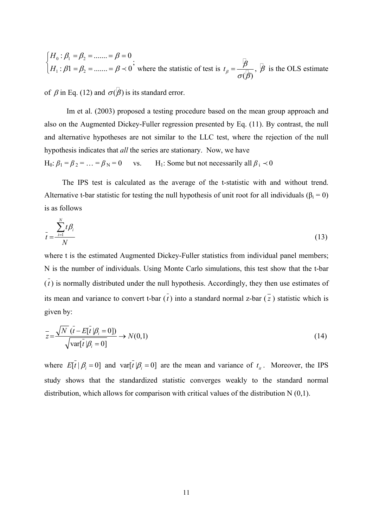where the statistic of test is Ł  $(\beta)$  $t_{\beta} = \frac{\beta}{\sigma(\beta)}$ ,  $\beta$  is the OLS estimate  $_0\cdot P_1$  –  $P_2$  $1 \cdot \mu_1 - \mu_2$ :  $\beta_1 = \beta_2 =$  ....... =  $\beta = 0$ :  $\beta$ 1 =  $\beta$ <sub>2</sub> = ....... =  $\beta$  < 0<sup>2</sup> *H H*  $\beta_1 = \beta_2 = \dots = \beta$  $\beta_1 = \beta_2 = ...... = \beta$  $\int H_0 : \beta_1 = \beta_2 = \dots = \beta =$  $H_1: \beta_1 = \beta_2 = \dots = \beta \prec$ 

of  $\beta$  in Eq. (12) and  $\sigma(\beta)$  is its standard error.

 Im et al. (2003) proposed a testing procedure based on the mean group approach and also on the Augmented Dickey-Fuller regression presented by Eq. (11). By contrast, the null and alternative hypotheses are not similar to the LLC test, where the rejection of the null hypothesis indicates that *all* the series are stationary. Now, we have  $H_0: \beta_1 = \beta_2 = ... = \beta_N = 0$  vs. H<sub>1</sub>: Some but not necessarily all  $\beta_i \prec 0$ 

 The IPS test is calculated as the average of the t-statistic with and without trend. Alternative t-bar statistic for testing the null hypothesis of unit root for all individuals ( $\beta_i = 0$ ) is as follows

$$
\bar{t} = \frac{\sum_{i=1}^{N} t\beta_i}{N} \tag{13}
$$

where t is the estimated Augmented Dickey-Fuller statistics from individual panel members; N is the number of individuals. Using Monte Carlo simulations, this test show that the t-bar  $(\overline{t})$  is normally distributed under the null hypothesis. Accordingly, they then use estimates of its mean and variance to convert t-bar  $(\overline{t})$  into a standard normal z-bar  $(\overline{z})$  statistic which is given by:

$$
\overline{z} = \frac{\sqrt{N} \left( \overline{t} - E[\overline{t}] \beta_i = 0 \right)}{\sqrt{\text{var}[\overline{t}] \beta_i = 0}} \to N(0,1)
$$
\n(14)

where  $E[\bar{t} | \beta_i = 0]$  and var $[\bar{t} | \beta_i = 0]$  are the mean and variance of  $t_i$ . Moreover, the IPS study shows that the standardized statistic converges weakly to the standard normal distribution, which allows for comparison with critical values of the distribution N (0,1).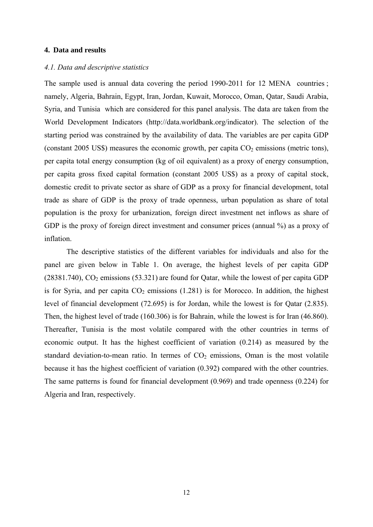### **4. Data and results**

### *4.1. Data and descriptive statistics*

The sample used is annual data covering the period 1990-2011 for 12 MENA countries ; namely, Algeria, Bahrain, Egypt, Iran, Jordan, Kuwait, Morocco, Oman, Qatar, Saudi Arabia, Syria, and Tunisia which are considered for this panel analysis. The data are taken from the World Development Indicators (http://data.worldbank.org/indicator). The selection of the starting period was constrained by the availability of data. The variables are per capita GDP (constant 2005 US\$) measures the economic growth, per capita  $CO<sub>2</sub>$  emissions (metric tons), per capita total energy consumption (kg of oil equivalent) as a proxy of energy consumption, per capita gross fixed capital formation (constant 2005 US\$) as a proxy of capital stock, domestic credit to private sector as share of GDP as a proxy for financial development, total trade as share of GDP is the proxy of trade openness, urban population as share of total population is the proxy for urbanization, foreign direct investment net inflows as share of GDP is the proxy of foreign direct investment and consumer prices (annual %) as a proxy of inflation.

 The descriptive statistics of the different variables for individuals and also for the panel are given below in Table 1. On average, the highest levels of per capita GDP  $(28381.740)$ ,  $CO<sub>2</sub>$  emissions (53.321) are found for Oatar, while the lowest of per capita GDP is for Syria, and per capita  $CO<sub>2</sub>$  emissions (1.281) is for Morocco. In addition, the highest level of financial development (72.695) is for Jordan, while the lowest is for Qatar (2.835). Then, the highest level of trade (160.306) is for Bahrain, while the lowest is for Iran (46.860). Thereafter, Tunisia is the most volatile compared with the other countries in terms of economic output. It has the highest coefficient of variation (0.214) as measured by the standard deviation-to-mean ratio. In termes of  $CO<sub>2</sub>$  emissions, Oman is the most volatile because it has the highest coefficient of variation (0.392) compared with the other countries. The same patterns is found for financial development (0.969) and trade openness (0.224) for Algeria and Iran, respectively.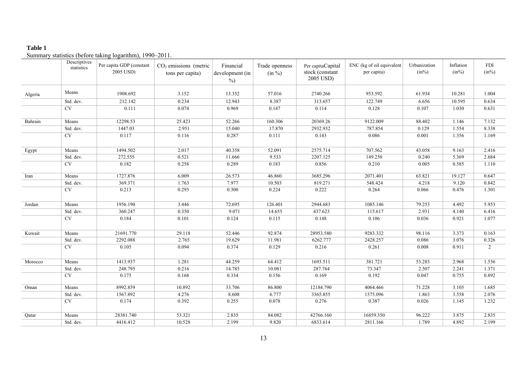#### **Table 1**

Summary statistics (before taking logarithm), 1990–2011.

|         | Descriptives<br>statistics | Per capita GDP (constant<br>2005 USD) | $CO2$ emissions (metric<br>tons per capita) | Financial<br>development (in<br>$\frac{0}{0}$ | Trade openness<br>$(in \%)$ | Per capitaCapital<br>stock (constant<br>2005 USD) | ENC (kg of oil equivalent<br>per capita) | Urbanization<br>$(in\%)$ | Inflation<br>$(in\%)$ | <b>FDI</b><br>$(in\%)$ |
|---------|----------------------------|---------------------------------------|---------------------------------------------|-----------------------------------------------|-----------------------------|---------------------------------------------------|------------------------------------------|--------------------------|-----------------------|------------------------|
| Algeria | Means                      | 1908.692                              | 3.152                                       | 13.352                                        | 57.016                      | 2740.266                                          | 953.592                                  | 61.934                   | 10.281                | 1.004                  |
|         | Std. dev.                  | 212.142                               | 0.234                                       | 12.943                                        | 8.387                       | 313.657                                           | 122.749                                  | 6.656                    | 10.595                | 0.634                  |
|         | CV                         | 0.111                                 | 0.074                                       | 0.969                                         | 0.147                       | 0.114                                             | 0.128                                    | 0.107                    | 1.030                 | 0.631                  |
| Bahrain | Means                      | 12298.53                              | 25.423                                      | 52.266                                        | 160.306                     | 20369.26                                          | 9122.009                                 | 88.402                   | 1.146                 | 7.132                  |
|         | Std. dev.                  | 1447.03                               | 2.951                                       | 15.040                                        | 17.870                      | 2932.932                                          | 787.854                                  | 0.129                    | 1.554                 | 8.338                  |
|         | $\overline{\text{CV}}$     | 0.117                                 | 0.116                                       | 0.287                                         | 0.111                       | 0.143                                             | 0.086                                    | 0.001                    | 1.356                 | 1.169                  |
| Egypt   | Means                      | 1494.502                              | 2.017                                       | 40.358                                        | 52.091                      | 2575.714                                          | 707.562                                  | 43.058                   | 9.163                 | 2.416                  |
|         | Std. dev.                  | 272.555                               | 0.521                                       | 11.666                                        | 9.533                       | 2207.125                                          | 149.250                                  | 0.240                    | 5.369                 | 2.684                  |
|         | <b>CV</b>                  | 0.182                                 | 0.258                                       | 0.289                                         | 0.183                       | 0.856                                             | 0.210                                    | 0.005                    | 0.585                 | 1.110                  |
| Iran    | Means                      | 1727.876                              | 6.009                                       | 26.573                                        | 46.860                      | 3685.296                                          | 2071.401                                 | 63.821                   | 19.127                | 0.647                  |
|         | Std. dev.                  | 369.371                               | 1.763                                       | 7.977                                         | 10.503                      | 819.271                                           | 548.424                                  | 4.218                    | 9.120                 | 0.842                  |
|         | $\overline{\text{CV}}$     | 0.213                                 | 0.293                                       | 0.300                                         | 0.224                       | 0.222                                             | 0.264                                    | 0.066                    | 0.476                 | 1.301                  |
| Jordan  | Means                      | 1956.190                              | 3.446                                       | 72.695                                        | 126.401                     | 2944.683                                          | 1085.146                                 | 79.253                   | 4.492                 | 5.953                  |
|         | Std. dev.                  | 360.247                               | 0.350                                       | 9.071                                         | 14.655                      | 437.623                                           | 115.617                                  | 2.931                    | 4.140                 | 6.416                  |
|         | $\overline{\text{CV}}$     | 0.184                                 | 0.101                                       | 0.124                                         | 0.115                       | 0.148                                             | 0.106                                    | 0.036                    | 0.921                 | 1.077                  |
| Kuwait  | Means                      | 21691.770                             | 29.118                                      | 52.446                                        | 92.874                      | 28953.580                                         | 9283.332                                 | 98.116                   | 3.373                 | 0.163                  |
|         | Std. dev.                  | 2292.088                              | 2.765                                       | 19.629                                        | 11.981                      | 6262.777                                          | 2428.257                                 | 0.086                    | 3.076                 | 0.326                  |
|         | $\overline{\rm CV}$        | 0.105                                 | 0.094                                       | 0.374                                         | 0.129                       | 0.216                                             | 0.261                                    | 0.008                    | 0.911                 | 2                      |
| Morocco | Means                      | 1413.937                              | 1.281                                       | 44.259                                        | 64.412                      | 1693.511                                          | 381.721                                  | 53.283                   | 2.968                 | 1.536                  |
|         | Std. dev.                  | 248.795                               | 0.216                                       | 14.785                                        | 10.081                      | 287.764                                           | 73.347                                   | 2.507                    | 2.241                 | 1.371                  |
|         | $\overline{\text{CV}}$     | 0.175                                 | 0.168                                       | 0.334                                         | 0.156                       | 0.169                                             | 0.192                                    | 0.047                    | 0.755                 | 0.892                  |
| Oman    | Means                      | 8992.859                              | 10.892                                      | 33.706                                        | 86.800                      | 12184.790                                         | 4064.466                                 | 71.228                   | 3.105                 | 1.685                  |
|         | Std. dev.                  | 1567.892                              | 4.276                                       | 8.608                                         | 6.777                       | 3365.855                                          | 1575.096                                 | 1.863                    | 3.558                 | 2.076                  |
|         | $\overline{\text{CV}}$     | 0.174                                 | 0.392                                       | 0.255                                         | 0.078                       | 0.276                                             | 0.387                                    | 0.026                    | 1.145                 | 1.232                  |
| Qatar   | Means                      | 28381.740                             | 53.321                                      | 2.835                                         | 84.082                      | 42766.160                                         | 16859.350                                | 96.222                   | 3.875                 | 2.835                  |
|         | Std. dev.                  | 4416.412                              | 10.528                                      | 2.199                                         | 9.820                       | 6833.614                                          | 2811.166                                 | 1.789                    | 4.892                 | 2.199                  |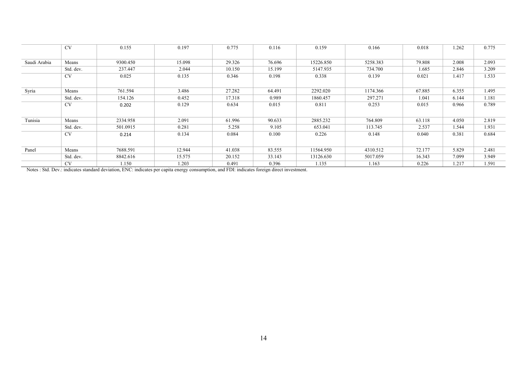|              | <b>CV</b> | 0.155    | 0.197  | 0.775  | 0.116  | 0.159     | 0.166    | 0.018  | 1.262 | 0.775 |
|--------------|-----------|----------|--------|--------|--------|-----------|----------|--------|-------|-------|
|              |           |          |        |        |        |           |          |        |       |       |
| Saudi Arabia | Means     | 9300.450 | 15.098 | 29.326 | 76.696 | 15226.850 | 5258.383 | 79.808 | 2.008 | 2.093 |
|              | Std. dev. | 237.447  | 2.044  | 10.150 | 15.199 | 5147.935  | 734.700  | 1.685  | 2.846 | 3.209 |
|              | <b>CV</b> | 0.025    | 0.135  | 0.346  | 0.198  | 0.338     | 0.139    | 0.021  | 1.417 | 1.533 |
|              |           |          |        |        |        |           |          |        |       |       |
| Syria        | Means     | 761.594  | 3.486  | 27.282 | 64.491 | 2292.020  | 1174.366 | 67.885 | 6.355 | 1.495 |
|              | Std. dev. | 154.126  | 0.452  | 17.318 | 0.989  | 1860.457  | 297.271  | 1.041  | 6.144 | 1.181 |
|              | <b>CV</b> | 0.202    | 0.129  | 0.634  | 0.015  | 0.811     | 0.253    | 0.015  | 0.966 | 0.789 |
|              |           |          |        |        |        |           |          |        |       |       |
| Tunisia      | Means     | 2334.958 | 2.091  | 61.996 | 90.633 | 2885.232  | 764.809  | 63.118 | 4.050 | 2.819 |
|              | Std. dev. | 501.0915 | 0.281  | 5.258  | 9.105  | 653.041   | 113.745  | 2.537  | 1.544 | 1.931 |
|              | <b>CV</b> | 0.214    | 0.134  | 0.084  | 0.100  | 0.226     | 0.148    | 0.040  | 0.381 | 0.684 |
|              |           |          |        |        |        |           |          |        |       |       |
| Panel        | Means     | 7688.591 | 12.944 | 41.038 | 83.555 | 11564.950 | 4310.512 | 72.177 | 5.829 | 2.481 |
|              | Std. dev. | 8842.616 | 15.575 | 20.152 | 33.143 | 13126.630 | 5017.059 | 16.343 | 7.099 | 3.949 |
|              | <b>CV</b> | .150     | 1.203  | 0.491  | 0.396  | 1.135     | 1.163    | 0.226  | 1.217 | 1.591 |

Notes : Std. Dev.: indicates standard deviation, ENC: indicates per capita energy consumption, and FDI: indicates foreign direct investment.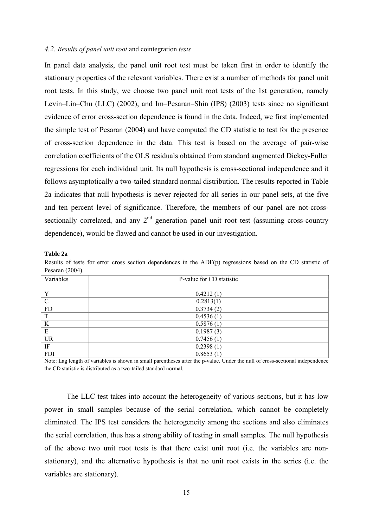#### *4.2. Results of panel unit root* and cointegration *tests*

In panel data analysis, the panel unit root test must be taken first in order to identify the stationary properties of the relevant variables. There exist a number of methods for panel unit root tests. In this study, we choose two panel unit root tests of the 1st generation, namely Levin–Lin–Chu (LLC) (2002), and Im–Pesaran–Shin (IPS) (2003) tests since no significant evidence of error cross-section dependence is found in the data. Indeed, we first implemented the simple test of Pesaran (2004) and have computed the CD statistic to test for the presence of cross-section dependence in the data. This test is based on the average of pair-wise correlation coefficients of the OLS residuals obtained from standard augmented Dickey-Fuller regressions for each individual unit. Its null hypothesis is cross-sectional independence and it follows asymptotically a two-tailed standard normal distribution. The results reported in Table 2a indicates that null hypothesis is never rejected for all series in our panel sets, at the five and ten percent level of significance. Therefore, the members of our panel are not-crosssectionally correlated, and any  $2<sup>nd</sup>$  generation panel unit root test (assuming cross-country dependence), would be flawed and cannot be used in our investigation.

#### **Table 2a**

Results of tests for error cross section dependences in the ADF(p) regressions based on the CD statistic of Pesaran (2004).

| Variables    | P-value for CD statistic |
|--------------|--------------------------|
|              |                          |
| $\mathbf{v}$ | 0.4212(1)                |
| $\mathbf C$  | 0.2813(1)                |
| FD           | 0.3734(2)                |
| T            | 0.4536(1)                |
| K            | 0.5876(1)                |
| E            | 0.1987(3)                |
| UR           | 0.7456(1)                |
| IF           | 0.2398(1)                |
| <b>FDI</b>   | 0.8653(1)                |

Note: Lag length of variables is shown in small parentheses after the p-value. Under the null of cross-sectional independence the CD statistic is distributed as a two-tailed standard normal.

The LLC test takes into account the heterogeneity of various sections, but it has low power in small samples because of the serial correlation, which cannot be completely eliminated. The IPS test considers the heterogeneity among the sections and also eliminates the serial correlation, thus has a strong ability of testing in small samples. The null hypothesis of the above two unit root tests is that there exist unit root (i.e. the variables are nonstationary), and the alternative hypothesis is that no unit root exists in the series (i.e. the variables are stationary).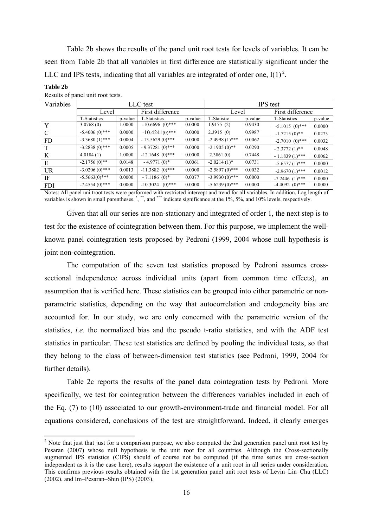Table 2b shows the results of the panel unit root tests for levels of variables. It can be seen from Table 2b that all variables in first difference are statistically significant under the LLC and IPS tests, indicating that all variables are integrated of order one,  $I(1)^2$ .

| $\mathbf{r}$ |                     |         |                     |                 |                  |         |                     |         |  |
|--------------|---------------------|---------|---------------------|-----------------|------------------|---------|---------------------|---------|--|
| Variables    |                     |         | LLC test            | <b>IPS</b> test |                  |         |                     |         |  |
|              | Level               |         | First difference    |                 | Level            |         | First difference    |         |  |
|              | <b>T-Statistics</b> | p-value | <b>T-Statistics</b> | p-value         | T-Statistic      | p-value | <b>T-Statistics</b> | p-value |  |
|              | 3.0768(0)           | 1.0000  | $-10.6696$ (0)***   | 0.0000          | 1.9175(2)        | 0.9430  | $-5.1015(0)$ ***    | 0.0000  |  |
| C            | $-5.4006(0)$ ***    | 0.0000  | $-10.4241(0)$ ***   | 0.0000          | 2.3915(0)        | 0.9987  | $-1.7215(0)$ **     | 0.0273  |  |
| <b>FD</b>    | $-3.3680(1)$ ***    | 0.0004  | $-13.5629(0)$ ***   | 0.0000          | $-2.4998(1)$ *** | 0.0062  | $-2.7010(0)$ ***    | 0.0032  |  |
| T            | $-3.2838(0)$ ***    | 0.0005  | $-9.37281(0)$ ***   | 0.0000          | $-2.1905(0)$ **  | 0.0290  | $-2.3772(1)$ **     | 0.0048  |  |
| K            | 4.0184(1)           | .0000   | $-12.1648$ (0)***   | 0.0000          | 2.3861(0)        | 0.7448  | $-1.1839(1)$ ***    | 0.0062  |  |
| E            | $-2.1756(0)$ **     | 0.0148  | $-4.9771(0)$ *      | 0.0061          | $-2.0214(1)$ *   | 0.0731  | $-5.6577(1)$ ***    | 0.0000  |  |
| <b>UR</b>    | $-3.0206(0)$ ***    | 0.0013  | $-11.3882(0)$ ***   | 0.0000          | $-2.5897(0)$ *** | 0.0032  | $-2.9670(1)$ ***    | 0.0012  |  |
| IF           | $-5.5663(0)$ ***    | 0.0000  | $-7.1186(0)^*$      | 0.0077          | $-3.9930(0)$ *** | 0.0000  | $-7.2446$ $(1)***$  | 0.0000  |  |
| <b>FDI</b>   | $-7.4554(0)$ ***    | 0.0000  | $-10.3024$ (0)***   | 0.0000          | $-5.6239(0)$ *** | 0.0000  | $-4.4092$ $(0)***$  | 0.0000  |  |

**Table 2b**  Results of panel unit root tests.

Notes: All panel uni troot tests were performed with restricted intercept and trend for all variables. In addition, Lag length of variables is shown in small parentheses.<sup>\*</sup>,<sup>\*\*</sup>, and <sup>\*\*\*</sup> indicate significance at the 1%, 5%, and 10% levels, respectively.

Given that all our series are non-stationary and integrated of order 1, the next step is to test for the existence of cointegration between them. For this purpose, we implement the wellknown panel cointegration tests proposed by Pedroni (1999, 2004 whose null hypothesis is joint non-cointegration.

The computation of the seven test statistics proposed by Pedroni assumes crosssectional independence across individual units (apart from common time effects), an assumption that is verified here. These statistics can be grouped into either parametric or nonparametric statistics, depending on the way that autocorrelation and endogeneity bias are accounted for. In our study, we are only concerned with the parametric version of the statistics, *i.e.* the normalized bias and the pseudo t-ratio statistics, and with the ADF test statistics in particular. These test statistics are defined by pooling the individual tests, so that they belong to the class of between-dimension test statistics (see Pedroni, 1999, 2004 for further details).

Table 2c reports the results of the panel data cointegration tests by Pedroni. More specifically, we test for cointegration between the differences variables included in each of the Eq. (7) to (10) associated to our growth-environment-trade and financial model. For all equations considered, conclusions of the test are straightforward. Indeed, it clearly emerges

 $2$  Note that just that just for a comparison purpose, we also computed the 2nd generation panel unit root test by Pesaran (2007) whose null hypothesis is the unit root for all countries. Although the Cross-sectionally augmented IPS statistics (CIPS) should of course not be computed (if the time series are cross-section independent as it is the case here), results support the existence of a unit root in all series under consideration. This confirms previous results obtained with the 1st generation panel unit root tests of Levin–Lin–Chu (LLC) (2002), and Im–Pesaran–Shin (IPS) (2003).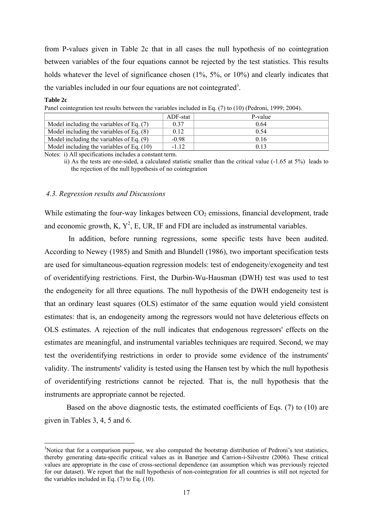from P-values given in Table 2c that in all cases the null hypothesis of no cointegration between variables of the four equations cannot be rejected by the test statistics. This results holds whatever the level of significance chosen (1%, 5%, or 10%) and clearly indicates that the variables included in our four equations are not cointegrated<sup>3</sup>.

#### **Table 2c**

Panel cointegration test results between the variables included in Eq. (7) to (10) (Pedroni, 1999; 2004).

|                                             | ADF-stat | P-value |
|---------------------------------------------|----------|---------|
| Model including the variables of Eq. $(7)$  | 0.37     | 0.64    |
| Model including the variables of Eq. $(8)$  | 0.12     | 0.54    |
| Model including the variables of Eq. $(9)$  | $-0.98$  | 0.16    |
| Model including the variables of Eq. $(10)$ | $-1.12$  | 0.13    |

Notes: i) All specifications includes a constant term.

 ii) As the tests are one-sided, a calculated statistic smaller than the critical value (-1.65 at 5%) leads to the rejection of the null hypothesis of no cointegration

### *4.3. Regression results and Discussions*

While estimating the four-way linkages between  $CO<sub>2</sub>$  emissions, financial development, trade and economic growth, K,  $Y^2$ , E, UR, IF and FDI are included as instrumental variables.

 In addition, before running regressions, some specific tests have been audited. According to Newey (1985) and Smith and Blundell (1986), two important specification tests are used for simultaneous-equation regression models: test of endogeneity/exogeneity and test of overidentifying restrictions. First, the Durbin-Wu-Hausman (DWH) test was used to test the endogeneity for all three equations. The null hypothesis of the DWH endogeneity test is that an ordinary least squares (OLS) estimator of the same equation would yield consistent estimates: that is, an endogeneity among the regressors would not have deleterious effects on OLS estimates. A rejection of the null indicates that endogenous regressors' effects on the estimates are meaningful, and instrumental variables techniques are required. Second, we may test the overidentifying restrictions in order to provide some evidence of the instruments' validity. The instruments' validity is tested using the Hansen test by which the null hypothesis of overidentifying restrictions cannot be rejected. That is, the null hypothesis that the instruments are appropriate cannot be rejected.

 Based on the above diagnostic tests, the estimated coefficients of Eqs. (7) to (10) are given in Tables 3, 4, 5 and 6.

<sup>&</sup>lt;sup>3</sup>Notice that for a comparison purpose, we also computed the bootstrap distribution of Pedroni's test statistics, thereby generating data-specific critical values as in Banerjee and Carrion-i-Silvestre (2006). These critical values are appropriate in the case of cross-sectional dependence (an assumption which was previously rejected for our dataset). We report that the null hypothesis of non-cointegration for all countries is still not rejected for the variables included in Eq.  $(7)$  to Eq.  $(10)$ .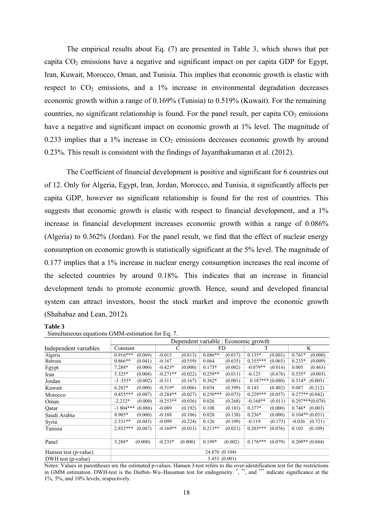The empirical results about Eq. (7) are presented in Table 3, which shows that per capita  $CO<sub>2</sub>$  emissions have a negative and significant impact on per capita GDP for Egypt, Iran, Kuwait, Morocco, Oman, and Tunisia. This implies that economic growth is elastic with respect to  $CO<sub>2</sub>$  emissions, and a 1% increase in environmental degradation decreases economic growth within a range of 0.169% (Tunisia) to 0.519% (Kuwait). For the remaining countries, no significant relationship is found. For the panel result, per capita  $CO<sub>2</sub>$  emissions have a negative and significant impact on economic growth at 1% level. The magnitude of 0.233 implies that a  $1\%$  increase in  $CO<sub>2</sub>$  emissions decreases economic growth by around 0.23%. This result is consistent with the findings of Jayanthakumaran et al. (2012).

 The Coefficient of financial development is positive and significant for 6 countries out of 12. Only for Algeria, Egypt, Iran, Jordan, Morocco, and Tunisia, it significantly affects per capita GDP, however no significant relationship is found for the rest of countries. This suggests that economic growth is elastic with respect to financial development, and a 1% increase in financial development increases economic growth within a range of 0.086% (Algeria) to 0.362% (Jordan). For the panel result, we find that the effect of nuclear energy consumption on economic growth is statistically significant at the 5% level. The magnitude of 0.177 implies that a 1% increase in nuclear energy consumption increases the real income of the selected countries by around 0.18%. This indicates that an increase in financial development tends to promote economic growth. Hence, sound and developed financial system can attract investors, boost the stock market and improve the economic growth (Shahabaz and Lean, 2012).

#### **Table 3**

|                       | Dependent variable : Economic growth |          |              |         |                |         |                   |         |                   |                   |  |
|-----------------------|--------------------------------------|----------|--------------|---------|----------------|---------|-------------------|---------|-------------------|-------------------|--|
| Independent variables |                                      | Constant |              | С       |                | FD      |                   | T       |                   | K                 |  |
| Algeria               | $0.916***$                           | (0.069)  | $-0.015$     | (0.813) | $0.086**$      | (0.017) | $0.135*$          | (0.001) | $0.761*$          | (0.000)           |  |
| Bahrain               | $0.866**$                            | (0.041)  | $-0.167$     | (0.559) | 0.064          | (0.635) | $0.355***$        | (0.065) | $0.233*$          | (0.009)           |  |
| Egypt                 | 7.288*                               | (0.000)  | $-0.423*$    | (0.000) | $0.175*$       | (0.002) | $-0.079**$        | (0.016) | 0.005             | (0.463)           |  |
| Iran                  | 5.325*                               | (0.008)  | $-0.271**$   | (0.022) | $0.259**$      | (0.011) | $-0.125$          | (0.676) | $0.555*$          | (0.003)           |  |
| Jordan                | $-3.555*$                            | (0.002)  | $-0.311$     | (0.167) | $0.362*$       | (0.001) | $0.187***(0.080)$ |         | $0.314*$          | (0.005)           |  |
| Kuwait                | $6.282*$                             | (0.000)  | $-0.519*$    | (0.006) | 0.034          | (0.399) | 0.145             | (0.402) | 0.087             | (0.212)           |  |
| Morocco               | $0.455***$                           | (0.087)  | $-0.284**$   | (0.027) | $0.250***$     | (0.075) | $0.229***$        | (0.057) |                   | $0.277**$ (0.042) |  |
| Oman                  | $-2.232*$                            | (0.000)  | $-0.253**$   | (0.036) | 0.026          | (0.268) | $-0.168**$        | (0.011) |                   | $0.297***(0.078)$ |  |
| Qatar                 | $-1.804***$                          | (0.088)  | $-0.089$     | (0.192) | 0.108          | (0.183) | $0.377*$          | (0.000) |                   | $0.746*$ (0.003)  |  |
| Saudi Arabia          | 8.905*                               | (0.000)  | $-0.188$     | (0.106) | 0.028          | (0.138) | $0.236*$          | (0.000) | $0.104**$ (0.031) |                   |  |
| Syria                 | $2.331**$                            | (0.043)  | $-0.099$     | (0.224) | 0.126          | (0.109) | $-0.119$          | (0.175) | $-0.026$          | (0.721)           |  |
| Tunisia               | $2.852***$                           | (0.087)  | $-0.169**$   | (0.033) | $0.213**$      | (0.021) | $0.203***$        | (0.076) | 0.103             | (0.109)           |  |
| Panel                 | 3.288*                               | (0.000)  | $-0.233*$    | (0.000) | $0.199*$       | (0.002) | $0.176***$        | (0.079) |                   | $0.209**$ (0.044) |  |
| Hansen test (p-value) |                                      |          |              |         | 24.870 (0.104) |         |                   |         |                   |                   |  |
| DWH test (p-value)    |                                      |          | 5.453(0.001) |         |                |         |                   |         |                   |                   |  |

Simultaneous equations GMM-estimation for Eq. 7.

Notes: Values in parentheses are the estimated p-values. Hansen J-test refers to the over-identification test for the restrictions in GMM estimation. DWH-test is the Durbin–Wu–Hausman test for endogeneity.<sup>\*</sup>,\*\*\*, and \*\*\* indicate significance at the 1%, 5%, and 10% levels, respectively.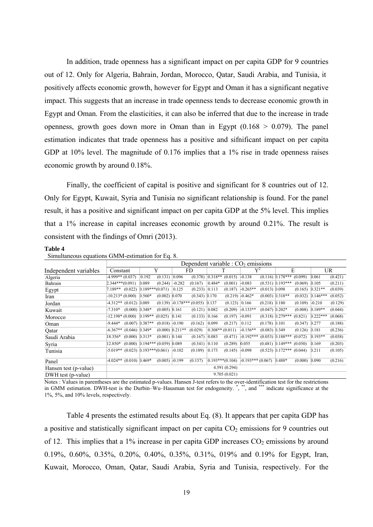In addition, trade openness has a significant impact on per capita GDP for 9 countries out of 12. Only for Algeria, Bahrain, Jordan, Morocco, Qatar, Saudi Arabia, and Tunisia, it positively affects economic growth, however for Egypt and Oman it has a significant negative impact. This suggests that an increase in trade openness tends to decrease economic growth in Egypt and Oman. From the elasticities, it can also be inferred that due to the increase in trade openness, growth goes down more in Oman than in Egypt  $(0.168 > 0.079)$ . The panel estimation indicates that trade openness has a positive and sifnificant impact on per capita GDP at 10% level. The magnitude of 0.176 implies that a 1% rise in trade openness raises economic growth by around 0.18%.

 Finally, the coefficient of capital is positive and significant for 8 countries out of 12. Only for Egypt, Kuwait, Syria and Tunisia no significant relationship is found. For the panel result, it has a positive and significant impact on per capita GDP at the 5% level. This implies that a 1% increase in capital increases economic growth by around 0.21%. The result is consistent with the findings of Omri (2013).

#### **Table 4**

|                       | Dependent variable : $CO2$ emissions |  |                   |                                    |          |                                     |                   |                   |                                          |                  |                                 |         |            |           |
|-----------------------|--------------------------------------|--|-------------------|------------------------------------|----------|-------------------------------------|-------------------|-------------------|------------------------------------------|------------------|---------------------------------|---------|------------|-----------|
| Independent variables | Constant                             |  | Y                 |                                    |          | FD                                  |                   | T                 | $\mathbf{Y}^2$                           |                  |                                 | E       |            | <b>UR</b> |
| Algeria               | $-4.999**$ (0.037)                   |  | 0.192             | (0.131)                            | 0.096    | (0.378)                             | $0.318**$         | (0.015)           | $-0.138$                                 |                  | $(0.116)$ 0.178***              | (0.099) | 0.061      | (0.421)   |
| Bahrain               | $2.344***(0.091)$                    |  | 0.089             | (0.244)                            | $-0.282$ | (0.167)                             | $0.484*$          | (0.001)           | $-0.083$                                 |                  | $(0.531)$ 0.193***              | (0.069) | 0.105      | (0.211)   |
| Egypt                 | (0.022)<br>7.189**                   |  | $0.189***(0.071)$ |                                    | 0.125    | (0.233)                             | 0.113             | (0.187)           | $-0.265**$                               | $(0.013)$ 0.098  |                                 | (0.165) | $0.321**$  | (0.039)   |
| Iran                  | $-10.213*(0.000)$                    |  | $0.560*$          | $(0.002)$ 0.070                    |          | $(0.343)$ 0.170                     |                   | (0.219)           | $-0.462*$                                |                  | $(0.003)$ 0.318**               | (0.032) | $0.146***$ | (0.052)   |
| Jordan                | $-4.312**$ (0.012) 0.089             |  |                   |                                    |          | $(0.139)$ -0.178*** $(0.055)$ 0.137 |                   | (0.123)           | 0.166                                    | $(0.218)$ 0.180  |                                 | (0.109) | $-0.210$   | (0.129)   |
| Kuwait                | $-7.310*$                            |  | $(0.000)$ 0.348*  | $(0.005)$ 0.161                    |          | (0.121)                             | 0.082             | (0.209)           | $-0.133**$                               | $(0.047)$ 0.202* |                                 | (0.008) | $0.189**$  | (0.044)   |
| Morocco               | $-12.198*(0.000)$                    |  | $0.199**$         | (0.025)                            | 0.141    | (0.133)                             | 0.166             | (0.197)           | $-0.091$                                 |                  | $(0.318)$ 0.279***              | (0.821) | $0.222***$ | (0.068)   |
| Oman                  | $-9.444*$                            |  | $(0.007)$ 0.387** | $(0.018)$ -0.190                   |          | (0.162)                             | 0.099             | (0.217)           | 0.112                                    | $(0.178)$ 0.101  |                                 | (0.347) | 0.277      | (0.188)   |
| Qatar                 | $-6.367**$ (0.046) 0.349*            |  |                   | $(0.000)$ 0.211**                  |          | (0.029)                             | $0.308**$ (0.011) |                   | $-0.156**$                               | $(0.083)$ 0.349  |                                 | (0.126) | 0.181      | (0.236)   |
| Saudi Arabia          | 18.356*                              |  | $(0.000)$ 0.313*  | $(0.001)$ 0.144                    |          | (0.167)                             | 0.083             | (0.471)           | $-0.192***$                              |                  | $(0.053)$ 0.188***              | (0.072) | $0.193**$  | (0.038)   |
| Syria                 | 12.850*                              |  |                   | $(0.000)$ 0.194*** $(0.059)$ 0.089 |          | (0.341)                             | 0.110             | (0.289)           | 0.055                                    |                  | $(0.481)$ 0.149***              | (0.050) | 0.169      | (0.203)   |
| Tunisia               | $-5.019**$ (0.023) 0.193***(0.061)   |  |                   |                                    | $-0.102$ | (0.189)                             | 0.173             | (0.145)           | $-0.098$                                 |                  | $(0.523)$ $[0.172***$ $(0.044)$ |         | 0.211      | (0.105)   |
| Panel                 | $-4.024**$ (0.010) 0.469*            |  |                   | $(0.005)$ -0.199                   |          | (0.137)                             |                   | $0.193***(0.104)$ | $\left  -0.193***(0.067) \right  0.488*$ |                  |                                 | (0.000) | 0.090      | (0.216)   |
| Hansen test (p-value) |                                      |  |                   |                                    |          |                                     |                   | 4.591(0.294)      |                                          |                  |                                 |         |            |           |
| DWH test (p-value)    |                                      |  |                   |                                    |          |                                     |                   | 9.705(0.021)      |                                          |                  |                                 |         |            |           |

Simultaneous equations GMM-estimation for Eq. 8.

Notes : Values in parentheses are the estimated p-values. Hansen J-test refers to the over-identification test for the restrictions in GMM estimation. DWH-test is the Durbin–Wu–Hausman test for endogeneity.<sup>\*</sup>,\*\*\*, and \*\*\*\* indicate significance at the 1%, 5%, and 10% levels, respectively.

 Table 4 presents the estimated results about Eq. (8). It appears that per capita GDP has a positive and statistically significant impact on per capita  $CO<sub>2</sub>$  emissions for 9 countries out of 12. This implies that a 1% increase in per capita GDP increases  $CO<sub>2</sub>$  emissions by around 0.19%, 0.60%, 0.35%, 0.20%, 0.40%, 0.35%, 0.31%, 019% and 0.19% for Egypt, Iran, Kuwait, Morocco, Oman, Qatar, Saudi Arabia, Syria and Tunisia, respectively. For the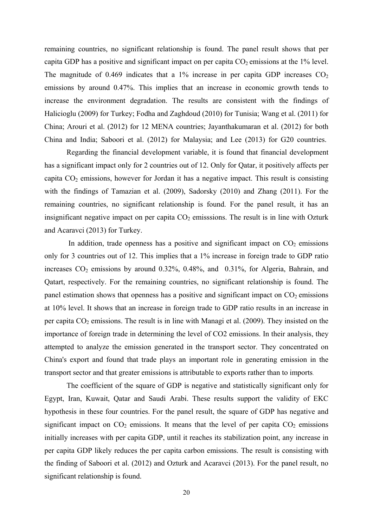remaining countries, no significant relationship is found. The panel result shows that per capita GDP has a positive and significant impact on per capita  $CO<sub>2</sub>$  emissions at the 1% level. The magnitude of 0.469 indicates that a 1% increase in per capita GDP increases  $CO<sub>2</sub>$ emissions by around 0.47%. This implies that an increase in economic growth tends to increase the environment degradation. The results are consistent with the findings of Halicioglu (2009) for Turkey; Fodha and Zaghdoud (2010) for Tunisia; Wang et al. (2011) for China; Arouri et al. (2012) for 12 MENA countries; Jayanthakumaran et al. (2012) for both China and India; Saboori et al. (2012) for Malaysia; and Lee (2013) for G20 countries.

 Regarding the financial development variable, it is found that financial development has a significant impact only for 2 countries out of 12. Only for Qatar, it positively affects per capita  $CO<sub>2</sub>$  emissions, however for Jordan it has a negative impact. This result is consisting with the findings of Tamazian et al. (2009), Sadorsky (2010) and Zhang (2011). For the remaining countries, no significant relationship is found. For the panel result, it has an insignificant negative impact on per capita  $CO<sub>2</sub>$  emisssions. The result is in line with Ozturk and Acaravci (2013) for Turkey.

In addition, trade openness has a positive and significant impact on  $CO<sub>2</sub>$  emissions only for 3 countries out of 12. This implies that a 1% increase in foreign trade to GDP ratio increases  $CO<sub>2</sub>$  emissions by around 0.32%, 0.48%, and 0.31%, for Algeria, Bahrain, and Qatart, respectively. For the remaining countries, no significant relationship is found. The panel estimation shows that openness has a positive and significant impact on  $CO<sub>2</sub>$  emissions at 10% level. It shows that an increase in foreign trade to GDP ratio results in an increase in per capita  $CO<sub>2</sub>$  emissions. The result is in line with Managi et al. (2009). They insisted on the importance of foreign trade in determining the level of CO2 emissions. In their analysis, they attempted to analyze the emission generated in the transport sector. They concentrated on China's export and found that trade plays an important role in generating emission in the transport sector and that greater emissions is attributable to exports rather than to imports.

The coefficient of the square of GDP is negative and statistically significant only for Egypt, Iran, Kuwait, Qatar and Saudi Arabi. These results support the validity of EKC hypothesis in these four countries. For the panel result, the square of GDP has negative and significant impact on  $CO_2$  emissions. It means that the level of per capita  $CO_2$  emissions initially increases with per capita GDP, until it reaches its stabilization point, any increase in per capita GDP likely reduces the per capita carbon emissions. The result is consisting with the finding of Saboori et al. (2012) and Ozturk and Acaravci (2013). For the panel result, no significant relationship is found.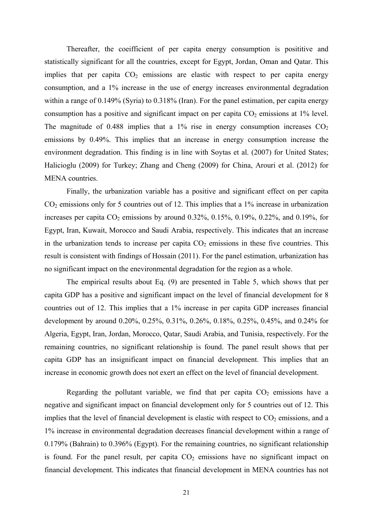Thereafter, the coeifficient of per capita energy consumption is posititive and statistically significant for all the countries, except for Egypt, Jordan, Oman and Qatar. This implies that per capita  $CO<sub>2</sub>$  emissions are elastic with respect to per capita energy consumption, and a 1% increase in the use of energy increases environmental degradation within a range of 0.149% (Syria) to 0.318% (Iran). For the panel estimation, per capita energy consumption has a positive and significant impact on per capita  $CO<sub>2</sub>$  emissions at 1% level. The magnitude of 0.488 implies that a 1% rise in energy consumption increases  $CO<sub>2</sub>$ emissions by 0.49%. This implies that an increase in energy consumption increase the environment degradation. This finding is in line with Soytas et al. (2007) for United States; Halicioglu (2009) for Turkey; Zhang and Cheng (2009) for China, Arouri et al. (2012) for MENA countries.

 Finally, the urbanization variable has a positive and significant effect on per capita  $CO<sub>2</sub>$  emissions only for 5 countries out of 12. This implies that a 1% increase in urbanization increases per capita  $CO_2$  emissions by around 0.32%, 0.15%, 0.19%, 0.22%, and 0.19%, for Egypt, Iran, Kuwait, Morocco and Saudi Arabia, respectively. This indicates that an increase in the urbanization tends to increase per capita  $CO<sub>2</sub>$  emissions in these five countries. This result is consistent with findings of Hossain (2011). For the panel estimation, urbanization has no significant impact on the enevironmental degradation for the region as a whole.

 The empirical results about Eq. (9) are presented in Table 5, which shows that per capita GDP has a positive and significant impact on the level of financial development for 8 countries out of 12. This implies that a 1% increase in per capita GDP increases financial development by around 0.20%, 0.25%, 0.31%, 0.26%, 0.18%, 0.25%, 0.45%, and 0.24% for Algeria, Egypt, Iran, Jordan, Morocco, Qatar, Saudi Arabia, and Tunisia, respectively. For the remaining countries, no significant relationship is found. The panel result shows that per capita GDP has an insignificant impact on financial development. This implies that an increase in economic growth does not exert an effect on the level of financial development.

Regarding the pollutant variable, we find that per capita  $CO<sub>2</sub>$  emissions have a negative and significant impact on financial development only for 5 countries out of 12. This implies that the level of financial development is elastic with respect to  $CO<sub>2</sub>$  emissions, and a 1% increase in environmental degradation decreases financial development within a range of 0.179% (Bahrain) to 0.396% (Egypt). For the remaining countries, no significant relationship is found. For the panel result, per capita  $CO<sub>2</sub>$  emissions have no significant impact on financial development. This indicates that financial development in MENA countries has not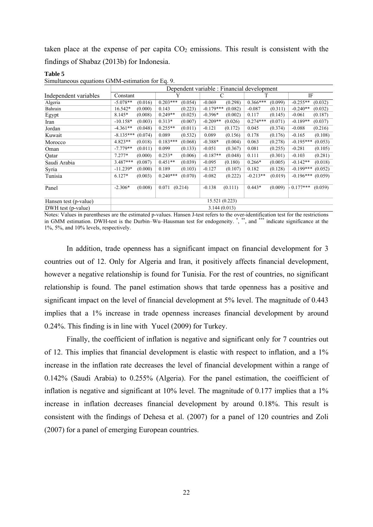taken place at the expense of per capita  $CO<sub>2</sub>$  emissions. This result is consistent with the findings of Shabaz (2013b) for Indonesia.

| Simultaneous equations Givily-estimation for Eq. 9. |             |                                            |            |         |             |         |            |         |            |         |  |  |
|-----------------------------------------------------|-------------|--------------------------------------------|------------|---------|-------------|---------|------------|---------|------------|---------|--|--|
|                                                     |             | Dependent variable : Financial development |            |         |             |         |            |         |            |         |  |  |
| Independent variables                               | Constant    |                                            |            |         |             |         |            |         |            | IF      |  |  |
| Algeria                                             | $-5.078**$  | (0.016)                                    | $0.203***$ | (0.054) | $-0.069$    | (0.298) | $0.366***$ | (0.099) | $-0.255**$ | (0.032) |  |  |
| Bahrain                                             | 16.542*     | (0.000)                                    | 0.143      | (0.223) | $-0.179***$ | (0.082) | $-0.087$   | (0.311) | $-0.240**$ | (0.032) |  |  |
| Egypt                                               | 8.145*      | (0.008)                                    | $0.249**$  | (0.025) | $-0.396*$   | (0.002) | 0.117      | (0.145) | $-0.061$   | (0.187) |  |  |
| Iran                                                | $-10.158*$  | (0.003)                                    | $0.313*$   | (0.007) | $-0.209**$  | (0.026) | $0.274***$ | (0.071) | $-0.189**$ | (0.037) |  |  |
| Jordan                                              | $-4.361**$  | (0.048)                                    | $0.255**$  | (0.011) | $-0.121$    | (0.172) | 0.045      | (0.374) | $-0.088$   | (0.216) |  |  |
| Kuwait                                              | $-8.135***$ | (0.074)                                    | 0.089      | (0.532) | 0.089       | (0.156) | 0.178      | (0.176) | $-0.165$   | (0.108) |  |  |

Hansen test (p-value) 15.521 (0.223) DWH test (p-value) 3.144 (0.013)

**Table 5**  ations GMM-estimation for Eq. 9.

Notes: Values in parentheses are the estimated p-values. Hansen J-test refers to the over-identification test for the restrictions in GMM estimation. DWH-test is the Durbin–Wu–Hausman test for endogeneity. \*, \*\*, and indicate significance at the 1%, 5%, and 10% levels, respectively.

Morocco  $4.823**$   $(0.018)$   $0.183***$   $(0.068)$   $-0.388*$   $(0.004)$   $0.063$   $(0.278)$   $-0.195***$   $(0.053)$ Oman -7.779\*\* (0.011) 0.099 (0.133) -0.051 (0.367) 0.081 (0.255) -0.281 (0.105) Qatar 7.277\* (0.000) 0.253\* (0.006) -0.187\*\* (0.048) 0.111 (0.301) -0.103 (0.281) Saudi Arabia 3.487\*\*\* (0.087) 0.451\*\* (0.039) -0.095 (0.180) 0.266\* (0.005) -0.142\*\* (0.018) Syria -11.239\* (0.000) 0.189 (0.103) -0.127 (0.107) 0.182 (0.128) -0.199\*\*\* (0.052) Tunisia 6.127\* (0.003) 0.240\*\*\* (0.070) -0.082 (0.222) -0.213\*\* (0.019) -0.196\*\*\* (0.059) Panel -2.306\*  $(0.008)$  0.071  $(0.214)$  -0.138  $(0.111)$  0.443\*  $(0.009)$  0.177\*\*\*  $(0.059)$ 

 In addition, trade openness has a significant impact on financial development for 3 countries out of 12. Only for Algeria and Iran, it positively affects financial development, however a negative relationship is found for Tunisia. For the rest of countries, no significant relationship is found. The panel estimation shows that tarde openness has a positive and significant impact on the level of financial development at 5% level. The magnitude of 0.443 implies that a 1% increase in trade openness increases financial development by around 0.24%. This finding is in line with Yucel (2009) for Turkey.

 Finally, the coefficient of inflation is negative and significant only for 7 countries out of 12. This implies that financial development is elastic with respect to inflation, and a 1% increase in the inflation rate decreases the level of financial development within a range of 0.142% (Saudi Arabia) to 0.255% (Algeria). For the panel estimation, the coeifficient of inflation is negative and significant at 10% level. The magnitude of 0.177 implies that a 1% increase in inflation decreases financial development by around 0.18%. This result is consistent with the findings of Dehesa et al. (2007) for a panel of 120 countries and Zoli (2007) for a panel of emerging European countries.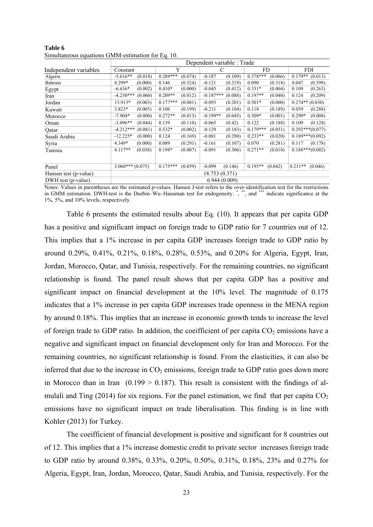|                       |                        |                       | Dependent variable : Trade |                       |                      |  |  |  |  |  |
|-----------------------|------------------------|-----------------------|----------------------------|-----------------------|----------------------|--|--|--|--|--|
| Independent variables | Constant               | Y                     | C                          | FD.                   | <b>FDI</b>           |  |  |  |  |  |
| Algeria               | $-5.616**$             | $0.289***$            | $-0.187$                   | $0.378***$            | $0.179**$            |  |  |  |  |  |
|                       | (0.018)                | (0.074)               | (0.109)                    | (0.066)               | (0.013)              |  |  |  |  |  |
| Bahrain               | 8.299*                 | 0.146                 | $-0.121$                   | 0.090                 | 0.047                |  |  |  |  |  |
|                       | (0.000)                | (0.324)               | (0.219)                    | (0.318)               | (0.399)              |  |  |  |  |  |
| Egypt                 | $-6.636*$              | $0.410*$              | (0.412)                    | $0.331*$              | (0.263)              |  |  |  |  |  |
|                       | (0.002)                | (0.000)               | $-0.045$                   | (0.004)               | 0.109                |  |  |  |  |  |
| Iran                  | $-4.230***$            | $0.209**$             | $-0.187***$                | $0.197**$             | (0.209)              |  |  |  |  |  |
|                       | (0.060)                | (0.012)               | (0.088)                    | (0.040)               | 0.124                |  |  |  |  |  |
| Jordan                | 13.913*                | $0.177***$            | $-0.093$                   | $0.501*$              | (0.030)              |  |  |  |  |  |
|                       | (0.003)                | (0.081)               | (0.201)                    | (0.000)               | $0.274**$            |  |  |  |  |  |
| Kuwait                | $3.823*$               | (0.199)               | $-0.211$                   | 0.118                 | 0.059                |  |  |  |  |  |
|                       | (0.005)                | 0.106                 | (0.104)                    | (0.189)               | (0.288)              |  |  |  |  |  |
| Morocco               | $-7.904*$              | $0.272**$             | $-0.199**$                 | $0.309*$              | $0.299*$             |  |  |  |  |  |
|                       | (0.000)                | (0.013)               | (0.045)                    | (0.001)               | (0.008)              |  |  |  |  |  |
| Oman                  | $-3.096**$             | 0.139                 | $-0.065$                   | 0.122                 | 0.109                |  |  |  |  |  |
|                       | (0.044)                | (0.110)               | (0.42)                     | (0.188)               | (0.128)              |  |  |  |  |  |
| Qatar                 | $-4.212***$<br>(0.081) | $0.532*$<br>(0.002)   | $-0.129$<br>(0.183)        | $0.179***$<br>(0.051) | $0.292***(0.077)$    |  |  |  |  |  |
| Saudi Arabia          | $-12.225*$<br>(0.000)  | 0.124<br>(0.169)      | $-0.081$<br>(0.290)        | $0.233**$<br>(0.020)  | $0.189***(0.092)$    |  |  |  |  |  |
| Syria                 | 4.349*                 | 0.089                 | $-0.161$                   | 0.070                 | 0.117                |  |  |  |  |  |
|                       | (0.000)                | (0.291)               | (0.107)                    | (0.281)               | (0.178)              |  |  |  |  |  |
| Tunisia               | $4.117**$<br>(0.038)   | $0.198*$<br>(0.007)   | $-0.091$<br>(0.306)        | $0.271**$<br>(0.010)  | $0.188***(0.082)$    |  |  |  |  |  |
|                       |                        |                       |                            |                       |                      |  |  |  |  |  |
| Panel                 | $3.060***(0.075)$      | $0.175***$<br>(0.059) | $-0.099$<br>(0.146)        | $0.195**$<br>(0.042)  | $0.211**$<br>(0.046) |  |  |  |  |  |
| Hansen test (p-value) |                        |                       | 18.753 (0.371)             |                       |                      |  |  |  |  |  |
| DWH test (p-value)    | 6.944(0.009)           |                       |                            |                       |                      |  |  |  |  |  |

**Table 6**  Simultaneous equations GMM-estimation for Eq. 10.

Notes: Values in parentheses are the estimated p-values. Hansen J-test refers to the over-identification test for the restrictions in GMM estimation. DWH-test is the Durbin–Wu–Hausman test for endogeneity.<sup>\*</sup>,\*\*\*, and \*\*\*\* indicate significance at the 1%, 5%, and 10% levels, respectively.

 Table 6 presents the estimated results about Eq. (10). It appears that per capita GDP has a positive and significant impact on foreign trade to GDP ratio for 7 countries out of 12. This implies that a 1% increase in per capita GDP increases foreign trade to GDP ratio by around 0.29%, 0.41%, 0.21%, 0.18%, 0.28%, 0.53%, and 0.20% for Algeria, Egypt, Iran, Jordan, Morocco, Qatar, and Tunisia, respectively. For the remaining countries, no significant relationship is found. The panel result shows that per capita GDP has a positive and significant impact on financial development at the 10% level. The magnitude of 0.175 indicates that a 1% increase in per capita GDP increases trade openness in the MENA region by around 0.18%. This implies that an increase in economic growth tends to increase the level of foreign trade to GDP ratio. In addition, the coeifficient of per capita  $CO<sub>2</sub>$  emissions have a negative and significant impact on financial development only for Iran and Morocco. For the remaining countries, no significant relationship is found. From the elasticities, it can also be inferred that due to the increase in  $CO<sub>2</sub>$  emissions, foreign trade to GDP ratio goes down more in Morocco than in Iran  $(0.199 > 0.187)$ . This result is consistent with the findings of almulali and Ting (2014) for six regions. For the panel estimation, we find that per capita  $CO<sub>2</sub>$ emissions have no significant impact on trade liberalisation. This finding is in line with Kohler (2013) for Turkey.

 The coeifficient of financial development is positive and significant for 8 countries out of 12. This implies that a 1% increase domestic credit to private sector increases foreign trade to GDP ratio by around 0.38%, 0.33%, 0.20%, 0.50%, 0.31%, 0.18%, 23% and 0.27% for Algeria, Egypt, Iran, Jordan, Morocco, Qatar, Saudi Arabia, and Tunisia, respectively. For the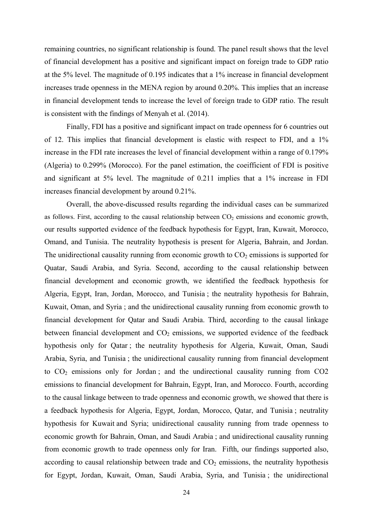remaining countries, no significant relationship is found. The panel result shows that the level of financial development has a positive and significant impact on foreign trade to GDP ratio at the 5% level. The magnitude of 0.195 indicates that a 1% increase in financial development increases trade openness in the MENA region by around 0.20%. This implies that an increase in financial development tends to increase the level of foreign trade to GDP ratio. The result is consistent with the findings of Menyah et al. (2014).

 Finally, FDI has a positive and significant impact on trade openness for 6 countries out of 12. This implies that financial development is elastic with respect to FDI, and a 1% increase in the FDI rate increases the level of financial development within a range of 0.179% (Algeria) to 0.299% (Morocco). For the panel estimation, the coeifficient of FDI is positive and significant at 5% level. The magnitude of 0.211 implies that a 1% increase in FDI increases financial development by around 0.21%.

 Overall, the above-discussed results regarding the individual cases can be summarized as follows. First, according to the causal relationship between  $CO<sub>2</sub>$  emissions and economic growth, our results supported evidence of the feedback hypothesis for Egypt, Iran, Kuwait, Morocco, Omand, and Tunisia. The neutrality hypothesis is present for Algeria, Bahrain, and Jordan. The unidirectional causality running from economic growth to  $CO<sub>2</sub>$  emissions is supported for Quatar, Saudi Arabia, and Syria. Second, according to the causal relationship between financial development and economic growth, we identified the feedback hypothesis for Algeria, Egypt, Iran, Jordan, Morocco, and Tunisia ; the neutrality hypothesis for Bahrain, Kuwait, Oman, and Syria ; and the unidirectional causality running from economic growth to financial development for Qatar and Saudi Arabia. Third, according to the causal linkage between financial development and  $CO<sub>2</sub>$  emissions, we supported evidence of the feedback hypothesis only for Qatar ; the neutrality hypothesis for Algeria, Kuwait, Oman, Saudi Arabia, Syria, and Tunisia ; the unidirectional causality running from financial development to  $CO<sub>2</sub>$  emissions only for Jordan; and the undirectional causality running from  $CO<sub>2</sub>$ emissions to financial development for Bahrain, Egypt, Iran, and Morocco. Fourth, according to the causal linkage between to trade openness and economic growth, we showed that there is a feedback hypothesis for Algeria, Egypt, Jordan, Morocco, Qatar, and Tunisia ; neutrality hypothesis for Kuwait and Syria; unidirectional causality running from trade openness to economic growth for Bahrain, Oman, and Saudi Arabia ; and unidirectional causality running from economic growth to trade openness only for Iran. Fifth, our findings supported also, according to causal relationship between trade and  $CO<sub>2</sub>$  emissions, the neutrality hypothesis for Egypt, Jordan, Kuwait, Oman, Saudi Arabia, Syria, and Tunisia ; the unidirectional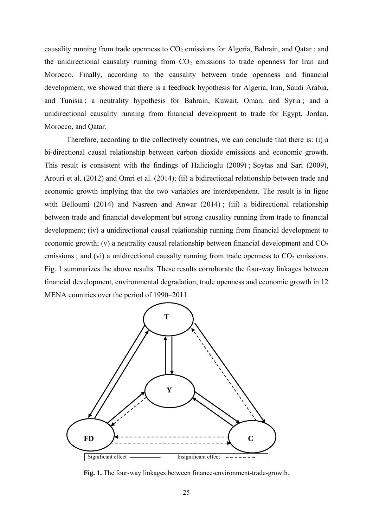causality running from trade openness to  $CO<sub>2</sub>$  emissions for Algeria, Bahrain, and Qatar; and the unidirectional causality running from  $CO<sub>2</sub>$  emissions to trade openness for Iran and Morocco. Finally, according to the causality between trade openness and financial development, we showed that there is a feedback hypothesis for Algeria, Iran, Saudi Arabia, and Tunisia ; a neutrality hypothesis for Bahrain, Kuwait, Oman, and Syria ; and a unidirectional causality running from financial development to trade for Egypt, Jordan, Morocco, and Qatar.

 Therefore, according to the collectively countries, we can conclude that there is: (i) a bi-directional causal relationship between carbon dioxide emissions and economic growth. This result is consistent with the findings of Halicioglu (2009) ; Soytas and Sari (2009), Arouri et al. (2012) and Omri et al. (2014); (ii) a bidirectional relationship between trade and economic growth implying that the two variables are interdependent. The result is in ligne with Belloumi (2014) and Nasreen and Anwar (2014); (iii) a bidirectional relationship between trade and financial development but strong causality running from trade to financial development; (iv) a unidirectional causal relationship running from financial development to economic growth; (v) a neutrality causal relationship between financial development and  $CO<sub>2</sub>$ emissions; and (vi) a unidirectional causalty running from trade openness to  $CO<sub>2</sub>$  emissions. Fig. 1 summarizes the above results. These results corroborate the four-way linkages between financial development, environmental degradation, trade openness and economic growth in 12 MENA countries over the period of 1990–2011.



**Fig. 1.** The four-way linkages between finance-environment-trade-growth.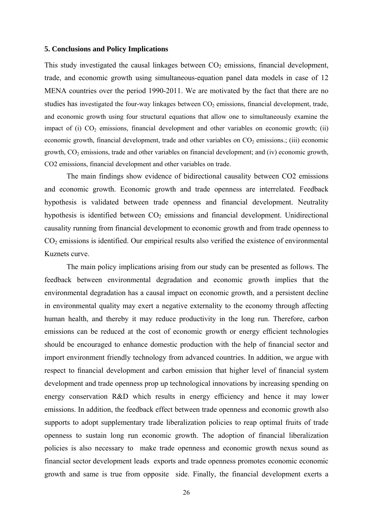#### **5. Conclusions and Policy Implications**

This study investigated the causal linkages between  $CO<sub>2</sub>$  emissions, financial development, trade, and economic growth using simultaneous-equation panel data models in case of 12 MENA countries over the period 1990-2011. We are motivated by the fact that there are no studies has investigated the four-way linkages between  $CO<sub>2</sub>$  emissions, financial development, trade, and economic growth using four structural equations that allow one to simultaneously examine the impact of (i)  $CO<sub>2</sub>$  emissions, financial development and other variables on economic growth; (ii) economic growth, financial development, trade and other variables on  $CO<sub>2</sub>$  emissions.; (iii) economic growth,  $CO<sub>2</sub>$  emissions, trade and other variables on financial development; and (iv) economic growth, CO2 emissions, financial development and other variables on trade.

 The main findings show evidence of bidirectional causality between CO2 emissions and economic growth. Economic growth and trade openness are interrelated. Feedback hypothesis is validated between trade openness and financial development. Neutrality hypothesis is identified between  $CO<sub>2</sub>$  emissions and financial development. Unidirectional causality running from financial development to economic growth and from trade openness to CO2 emissions is identified. Our empirical results also verified the existence of environmental Kuznets curve.

 The main policy implications arising from our study can be presented as follows. The feedback between environmental degradation and economic growth implies that the environmental degradation has a causal impact on economic growth, and a persistent decline in environmental quality may exert a negative externality to the economy through affecting human health, and thereby it may reduce productivity in the long run. Therefore, carbon emissions can be reduced at the cost of economic growth or energy efficient technologies should be encouraged to enhance domestic production with the help of financial sector and import environment friendly technology from advanced countries. In addition, we argue with respect to financial development and carbon emission that higher level of financial system development and trade openness prop up technological innovations by increasing spending on energy conservation R&D which results in energy efficiency and hence it may lower emissions. In addition, the feedback effect between trade openness and economic growth also supports to adopt supplementary trade liberalization policies to reap optimal fruits of trade openness to sustain long run economic growth. The adoption of financial liberalization policies is also necessary to make trade openness and economic growth nexus sound as financial sector development leads exports and trade openness promotes economic economic growth and same is true from opposite side. Finally, the financial development exerts a

26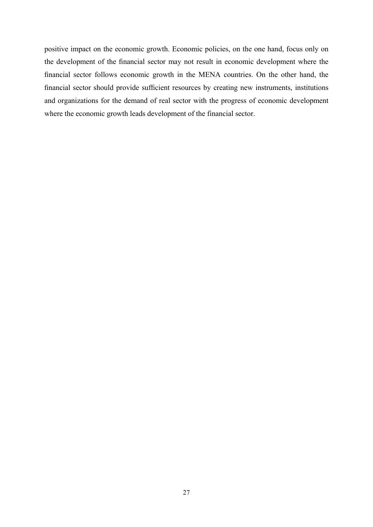positive impact on the economic growth. Economic policies, on the one hand, focus only on the development of the financial sector may not result in economic development where the financial sector follows economic growth in the MENA countries. On the other hand, the financial sector should provide sufficient resources by creating new instruments, institutions and organizations for the demand of real sector with the progress of economic development where the economic growth leads development of the financial sector.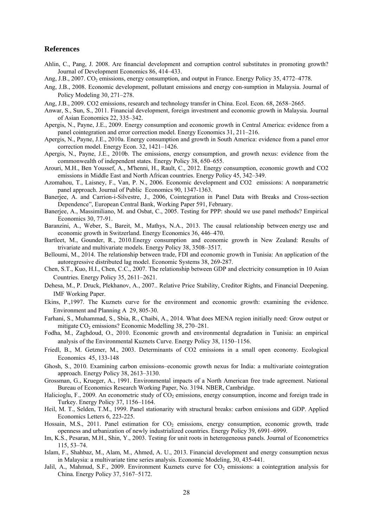#### **References**

- Ahlin, C., Pang, J. 2008. Are financial development and corruption control substitutes in promoting growth? Journal of Development Economics 86, 414–433.
- Ang, J.B., 2007. CO<sub>2</sub> emissions, energy consumption, and output in France. Energy Policy 35, 4772–4778.
- Ang, J.B., 2008. Economic development, pollutant emissions and energy con-sumption in Malaysia. Journal of Policy Modeling 30, 271–278.
- Ang, J.B., 2009. CO2 emissions, research and technology transfer in China. Ecol. Econ. 68, 2658–2665.
- Anwar, S., Sun, S., 2011. Financial development, foreign investment and economic growth in Malaysia. Journal of Asian Economics 22, 335–342.
- Apergis, N., Payne, J.E., 2009. Energy consumption and economic growth in Central America: evidence from a panel cointegration and error correction model. Energy Economics 31, 211–216.
- Apergis, N., Payne, J.E., 2010a. Energy consumption and growth in South America: evidence from a panel error correction model. Energy Econ. 32, 1421–1426.
- Apergis, N., Payne, J.E., 2010b. The emissions, energy consumption, and growth nexus: evidence from the commonwealth of independent states. Energy Policy 38, 650–655.
- Arouri, M.H., Ben Youssef, A., M'henni, H., Rault, C., 2012. Energy consumption, economic growth and CO2 emissions in Middle East and North African countries. Energy Policy 45, 342–349.
- Azomahou, T., Laisney, F., Van, P. N., 2006. Economic development and CO2 emissions: A nonparametric panel approach. Journal of Public Economics 90, 1347-1363.
- Baneriee, A. and Carrion-i-Silvestre, J., 2006, Cointegration in Panel Data with Breaks and Cross-section Dependence", European Central Bank, Working Paper 591, February.
- Banerjee, A., Massimiliano, M. and Osbat, C., 2005. Testing for PPP: should we use panel methods? Empirical Economics 30, 77-91.
- Baranzini, A., Weber, S., Bareit, M., Mathys, N.A., 2013. The causal relationship between energy use and economic growth in Switzerland. Energy Economics 36, 446–470.
- Bartleet, M., Gounder, R., 2010.Energy consumption and economic growth in New Zealand: Results of trivariate and multivariate models. Energy Policy 38, 3508–3517.
- Belloumi, M., 2014. The relationship between trade, FDI and economic growth in Tunisia: An application of the autoregressive distributed lag model. Economic Systems 38, 269-287.
- Chen, S.T., Kuo, H.I., Chen, C.C., 2007. The relationship between GDP and electricity consumption in 10 Asian Countries. Energy Policy 35, 2611–2621.
- Dehesa, M., P. Druck, Plekhanov, A., 2007.. Relative Price Stability, Creditor Rights, and Financial Deepening. IMF Working Paper.
- Ekins, P.,1997. The Kuznets curve for the environment and economic growth: examining the evidence. Environment and Planning A 29, 805-30.
- Farhani, S., Muhammad, S., Sbia, R., Chaibi, A., 2014. What does MENA region initially need: Grow output or mitigate  $CO<sub>2</sub>$  emissions? Economic Modelling 38, 270–281.
- Fodha, M., Zaghdoud, O., 2010. Economic growth and environmental degradation in Tunisia: an empirical analysis of the Environmental Kuznets Curve. Energy Policy 38, 1150–1156.
- Friedl, B., M. Getzner, M., 2003. Determinants of CO2 emissions in a small open economy. Ecological Economics 45, 133-148
- Ghosh, S., 2010. Examining carbon emissions–economic growth nexus for India: a multivariate cointegration approach. Energy Policy 38, 2613–3130.
- Grossman, G., Krueger, A., 1991. Environmental impacts of a North American free trade agreement. National Bureau of Economics Research Working Paper, No. 3194. NBER, Cambridge.
- Halicioglu, F., 2009. An econometric study of CO<sub>2</sub> emissions, energy consumption, income and foreign trade in Turkey. Energy Policy 37, 1156–1164.
- Heil, M. T., Selden, T.M., 1999. Panel stationarity with structural breaks: carbon emissions and GDP. Applied Economics Letters 6, 223-225.
- Hossain, M.S., 2011. Panel estimation for CO<sub>2</sub> emissions, energy consumption, economic growth, trade openness and urbanization of newly industrialized countries. Energy Policy 39, 6991–6999.
- Im, K.S., Pesaran, M.H., Shin, Y., 2003. Testing for unit roots in heterogeneous panels. Journal of Econometrics 115, 53–74.
- Islam, F., Shahbaz, M., Alam, M., Ahmed, A. U., 2013. Financial development and energy consumption nexus in Malaysia: a multivariate time series analysis. Economic Modeling, 30, 435-441.
- Jalil, A., Mahmud, S.F., 2009. Environment Kuznets curve for CO<sub>2</sub> emissions: a cointegration analysis for China. Energy Policy 37, 5167–5172.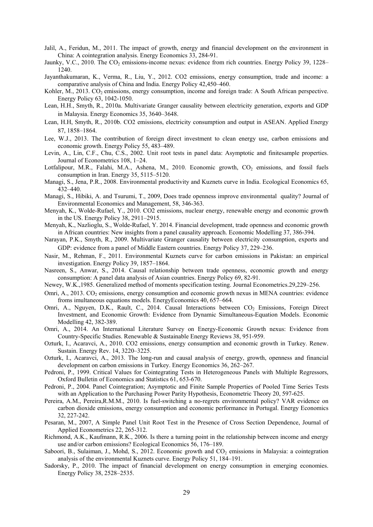- Jalil, A., Feridun, M., 2011. The impact of growth, energy and financial development on the environment in China: A cointegration analysis. Energy Economics 33, 284-91.
- Jaunky, V.C., 2010. The CO<sub>2</sub> emissions-income nexus: evidence from rich countries. Energy Policy 39, 1228– 1240.
- Jayanthakumaran, K., Verma, R., Liu, Y., 2012. CO2 emissions, energy consumption, trade and income: a comparative analysis of China and India. Energy Policy 42,450–460.
- Kohler, M., 2013. CO<sub>2</sub> emissions, energy consumption, income and foreign trade: A South African perspective. Energy Policy 63, 1042-1050.
- Lean, H.H., Smyth, R., 2010a. Multivariate Granger causality between electricity generation, exports and GDP in Malaysia. Energy Economics 35, 3640–3648.
- Lean, H.H, Smyth, R., 2010b. CO2 emissions, electricity consumption and output in ASEAN. Applied Energy 87, 1858–1864.
- Lee, W.J., 2013. The contribution of foreign direct investment to clean energy use, carbon emissions and economic growth. Energy Policy 55, 483–489.
- Levin, A., Lin, C.F., Chu, C.S., 2002. Unit root tests in panel data: Asymptotic and finitesample properties. Journal of Econometrics 108, 1–24.
- Lotfalipour, M.R., Falahi, M.A., Ashena, M., 2010. Economic growth, CO<sub>2</sub> emissions, and fossil fuels consumption in Iran. Energy 35, 5115–5120.
- Managi, S., Jena, P.R., 2008. Environmental productivity and Kuznets curve in India. Ecological Economics 65, 432–440.
- Managi, S., Hibiki, A. and Tsurumi, T., 2009, Does trade openness improve environmental quality? Journal of Environmental Economics and Management, 58, 346-363.
- Menyah, K., Wolde-Rufael, Y., 2010. CO2 emissions, nuclear energy, renewable energy and economic growth in the US. Energy Policy 38, 2911–2915.
- Menyah, K., Nazlioglu, S., Wolde-Rufael, Y. 2014. Financial development, trade openness and economic growth in African countries: New insights from a panel causality approach. Economic Modelling 37, 386-394.
- Narayan, P.K., Smyth, R., 2009. Multivariate Granger causality between electricity consumption, exports and GDP: evidence from a panel of Middle Eastern countries. Energy Policy 37, 229–236.
- Nasir, M., Rehman, F., 2011. Environmental Kuznets curve for carbon emissions in Pakistan: an empirical investigation. Energy Policy 39, 1857–1864.
- Nasreen, S., Anwar, S., 2014. Causal relationship between trade openness, economic growth and energy consumption: A panel data analysis of Asian countries. Energy Policy 69, 82-91.
- Newey, W.K.,1985. Generalized method of moments specification testing. Journal Econometrics.29,229–256.
- Omri, A., 2013.  $CO<sub>2</sub>$  emissions, energy consumption and economic growth nexus in MENA countries: evidence froms imultaneous equations models. EnergyEconomics 40, 657–664.
- Omri, A., Nguyen, D.K., Rault, C., 2014. Causal Interactions between CO<sub>2</sub> Emissions, Foreign Direct Investment, and Economic Growth: Evidence from Dynamic Simultaneous-Equation Models. Economic Modelling 42, 382-389.
- Omri, A., 2014. An International Literature Survey on Energy-Economic Growth nexus: Evidence from Country-Specific Studies. Renewable & Sustainable Energy Reviews 38, 951-959.
- Ozturk, I., Acaravci, A., 2010. CO2 emissions, energy consumption and economic growth in Turkey. Renew. Sustain. Energy Rev. 14, 3220–3225.
- Ozturk, I., Acaravci, A., 2013. The long-run and causal analysis of energy, growth, openness and financial development on carbon emissions in Turkey. Energy Economics 36, 262–267.
- Pedroni, P., 1999. Critical Values for Cointegrating Tests in Heterogeneous Panels with Multiple Regressors, Oxford Bulletin of Economics and Statistics 61, 653-670.
- Pedroni, P., 2004. Panel Cointegration; Asymptotic and Finite Sample Properties of Pooled Time Series Tests with an Application to the Purchasing Power Parity Hypothesis, Econometric Theory 20, 597-625.
- Pereira, A.M., Pereira,R.M.M., 2010. Is fuel-switching a no-regrets environmental policy? VAR evidence on carbon dioxide emissions, energy consumption and economic performance in Portugal. Energy Economics 32, 227-242.
- Pesaran, M., 2007, A Simple Panel Unit Root Test in the Presence of Cross Section Dependence, Journal of Applied Econometrics 22, 265-312.
- Richmond, A.K., Kaufmann, R.K., 2006. Is there a turning point in the relationship between income and energy use and/or carbon emissions? Ecological Economics 56, 176–189.
- Saboori, B., Sulaiman, J., Mohd, S., 2012. Economic growth and  $CO<sub>2</sub>$  emissions in Malaysia: a cointegration analysis of the environmental Kuznets curve. Energy Policy 51, 184–191.
- Sadorsky, P., 2010. The impact of financial development on energy consumption in emerging economies. Energy Policy 38, 2528–2535.